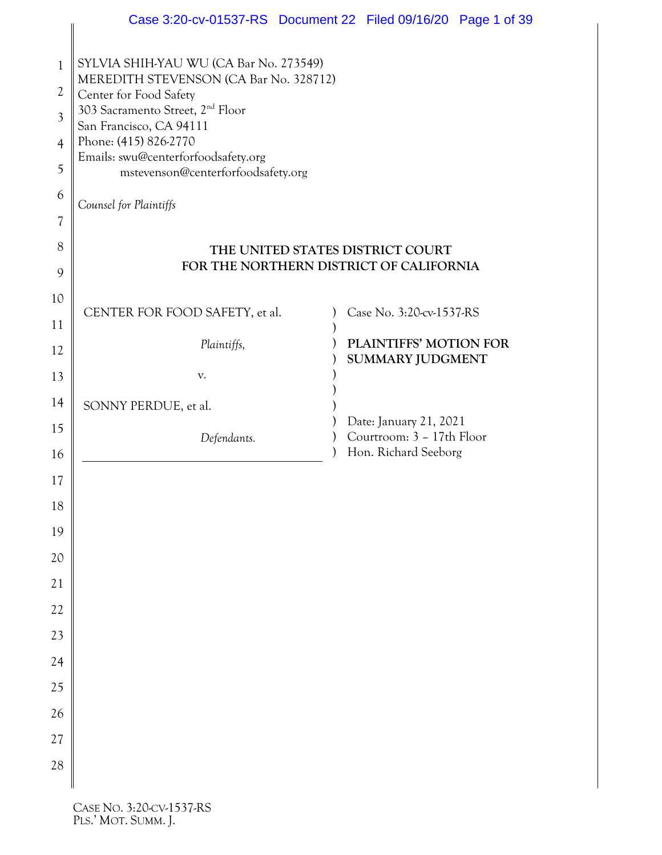|                                                                                                               | Case 3:20-cv-01537-RS  Document 22  Filed 09/16/20  Page 1 of 39                                                                                                                                                                                                                                                      |  |                                                   |  |
|---------------------------------------------------------------------------------------------------------------|-----------------------------------------------------------------------------------------------------------------------------------------------------------------------------------------------------------------------------------------------------------------------------------------------------------------------|--|---------------------------------------------------|--|
| $\mathbf{1}$<br>$\overline{2}$<br>$\overline{3}$<br>$\overline{4}$<br>5<br>6<br>$\overline{\mathcal{U}}$<br>8 | SYLVIA SHIH-YAU WU (CA Bar No. 273549)<br>MEREDITH STEVENSON (CA Bar No. 328712)<br>Center for Food Safety<br>303 Sacramento Street, 2 <sup>nd</sup> Floor<br>San Francisco, CA 94111<br>Phone: (415) 826-2770<br>Emails: swu@centerforfoodsafety.org<br>mstevenson@centerforfoodsafety.org<br>Counsel for Plaintiffs |  | THE UNITED STATES DISTRICT COURT                  |  |
| 9                                                                                                             | FOR THE NORTHERN DISTRICT OF CALIFORNIA                                                                                                                                                                                                                                                                               |  |                                                   |  |
| 10                                                                                                            | CENTER FOR FOOD SAFETY, et al.                                                                                                                                                                                                                                                                                        |  | Case No. 3:20-cv-1537-RS                          |  |
| 11                                                                                                            | Plaintiffs,                                                                                                                                                                                                                                                                                                           |  | PLAINTIFFS' MOTION FOR                            |  |
| 12                                                                                                            |                                                                                                                                                                                                                                                                                                                       |  | SUMMARY JUDGMENT                                  |  |
| 13                                                                                                            | V.                                                                                                                                                                                                                                                                                                                    |  |                                                   |  |
| 14                                                                                                            | SONNY PERDUE, et al.                                                                                                                                                                                                                                                                                                  |  | Date: January 21, 2021                            |  |
| 15<br>16                                                                                                      | Defendants.                                                                                                                                                                                                                                                                                                           |  | Courtroom: 3 - 17th Floor<br>Hon. Richard Seeborg |  |
| 17                                                                                                            |                                                                                                                                                                                                                                                                                                                       |  |                                                   |  |
| 18                                                                                                            |                                                                                                                                                                                                                                                                                                                       |  |                                                   |  |
| 19                                                                                                            |                                                                                                                                                                                                                                                                                                                       |  |                                                   |  |
| 20                                                                                                            |                                                                                                                                                                                                                                                                                                                       |  |                                                   |  |
| 21                                                                                                            |                                                                                                                                                                                                                                                                                                                       |  |                                                   |  |
| 22                                                                                                            |                                                                                                                                                                                                                                                                                                                       |  |                                                   |  |
| 23                                                                                                            |                                                                                                                                                                                                                                                                                                                       |  |                                                   |  |
| 24                                                                                                            |                                                                                                                                                                                                                                                                                                                       |  |                                                   |  |
| 25                                                                                                            |                                                                                                                                                                                                                                                                                                                       |  |                                                   |  |
| 26                                                                                                            |                                                                                                                                                                                                                                                                                                                       |  |                                                   |  |
| 27                                                                                                            |                                                                                                                                                                                                                                                                                                                       |  |                                                   |  |
| 28                                                                                                            |                                                                                                                                                                                                                                                                                                                       |  |                                                   |  |
|                                                                                                               |                                                                                                                                                                                                                                                                                                                       |  |                                                   |  |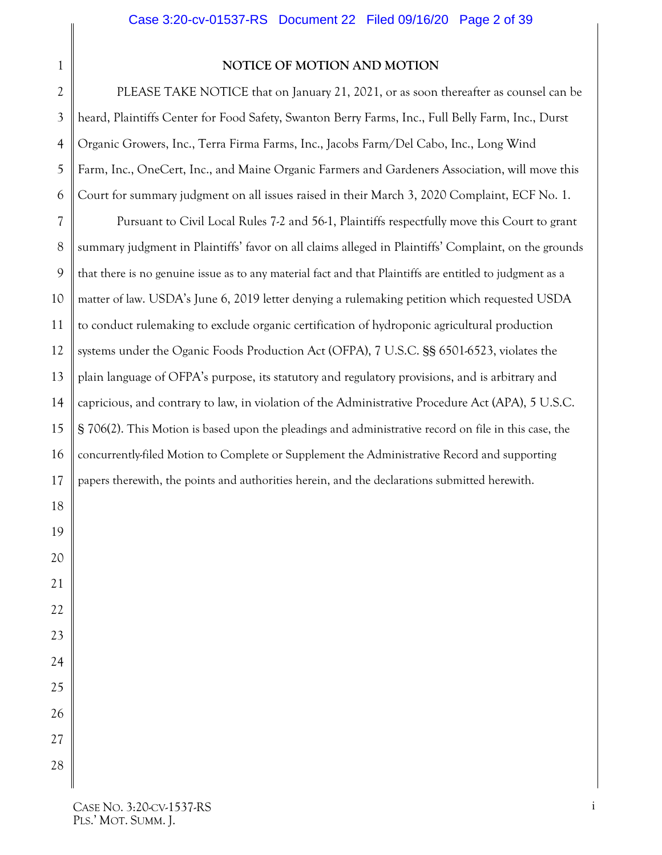#### **NOTICE OF MOTION AND MOTION**

2 PLEASE TAKE NOTICE that on January 21, 2021, or as soon thereafter as counsel can be heard, Plaintiffs Center for Food Safety, Swanton Berry Farms, Inc., Full Belly Farm, Inc., Durst Organic Growers, Inc., Terra Firma Farms, Inc., Jacobs Farm/Del Cabo, Inc., Long Wind Farm, Inc., OneCert, Inc., and Maine Organic Farmers and Gardeners Association, will move this Court for summary judgment on all issues raised in their March 3, 2020 Complaint, ECF No. 1.

Pursuant to Civil Local Rules 7-2 and 56-1, Plaintiffs respectfully move this Court to grant summary judgment in Plaintiffs' favor on all claims alleged in Plaintiffs' Complaint, on the grounds that there is no genuine issue as to any material fact and that Plaintiffs are entitled to judgment as a matter of law. USDA's June 6, 2019 letter denying a rulemaking petition which requested USDA to conduct rulemaking to exclude organic certification of hydroponic agricultural production systems under the Oganic Foods Production Act (OFPA), 7 U.S.C. §§ 6501-6523, violates the plain language of OFPA's purpose, its statutory and regulatory provisions, and is arbitrary and capricious, and contrary to law, in violation of the Administrative Procedure Act (APA), 5 U.S.C. § 706(2). This Motion is based upon the pleadings and administrative record on file in this case, the concurrently-filed Motion to Complete or Supplement the Administrative Record and supporting papers therewith, the points and authorities herein, and the declarations submitted herewith.

<span id="page-1-0"></span>1

3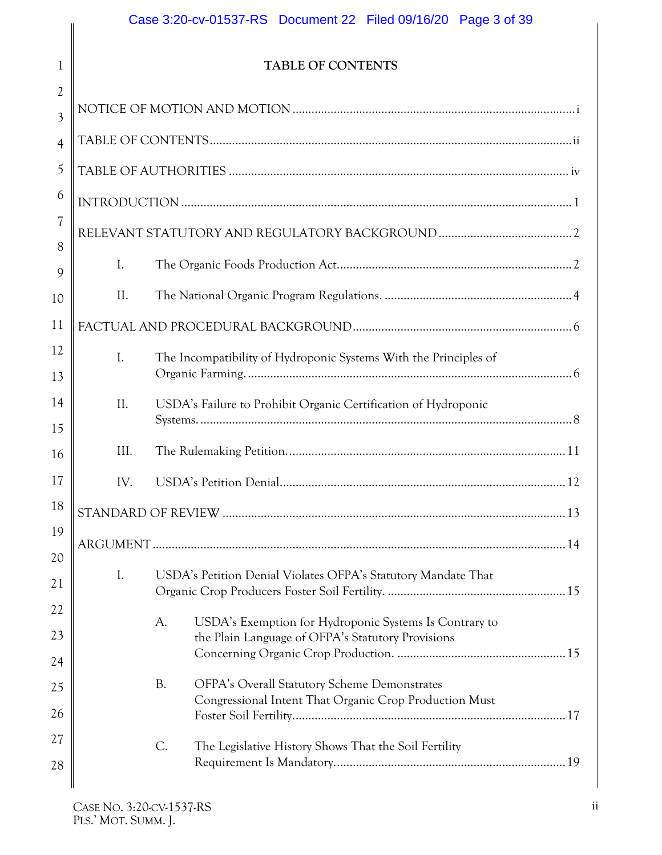## Case 3:20-cv-01537-RS Document 22 Filed 09/16/20 Page 3 of 39

## **TABLE OF CONTENTS**

<span id="page-2-0"></span>

| $\overline{2}$ |                |                |                                                                                                               |  |
|----------------|----------------|----------------|---------------------------------------------------------------------------------------------------------------|--|
| 3              |                |                |                                                                                                               |  |
| $\overline{4}$ |                |                |                                                                                                               |  |
| 5              |                |                |                                                                                                               |  |
| 6              |                |                |                                                                                                               |  |
| 7              |                |                |                                                                                                               |  |
| 8<br>9         | $\mathbf{I}$ . |                |                                                                                                               |  |
| 10             | II.            |                |                                                                                                               |  |
| 11             |                |                |                                                                                                               |  |
| 12             | $\mathbf{I}$ . |                | The Incompatibility of Hydroponic Systems With the Principles of                                              |  |
| 13             |                |                |                                                                                                               |  |
| 14             | II.            |                | USDA's Failure to Prohibit Organic Certification of Hydroponic                                                |  |
| 15             | III.           |                |                                                                                                               |  |
| 16             |                |                |                                                                                                               |  |
| 17             | IV.            |                |                                                                                                               |  |
| 18             |                |                |                                                                                                               |  |
| 19<br>20       |                |                |                                                                                                               |  |
| 21             | I.             |                | USDA's Petition Denial Violates OFPA's Statutory Mandate That                                                 |  |
| 22             |                |                |                                                                                                               |  |
| 23             |                | A.             | USDA's Exemption for Hydroponic Systems Is Contrary to<br>the Plain Language of OFPA's Statutory Provisions   |  |
| 24             |                |                |                                                                                                               |  |
| 25             |                | <b>B.</b>      | <b>OFPA's Overall Statutory Scheme Demonstrates</b><br>Congressional Intent That Organic Crop Production Must |  |
| 26             |                |                |                                                                                                               |  |
| 27             |                | $\mathsf{C}$ . | The Legislative History Shows That the Soil Fertility                                                         |  |
| 28             |                |                |                                                                                                               |  |
|                |                |                |                                                                                                               |  |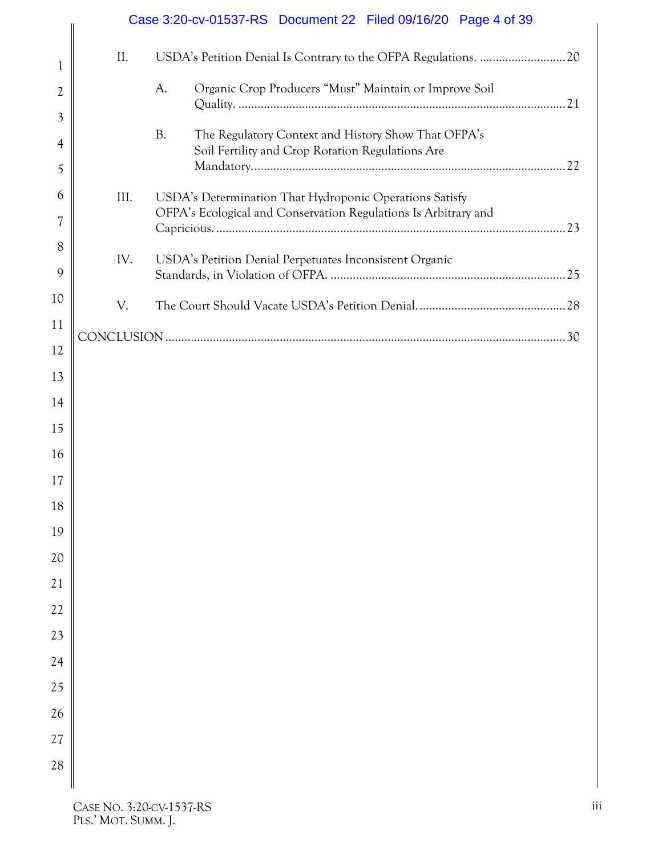|              |      |           | Case 3:20-cv-01537-RS Document 22 Filed 09/16/20 Page 4 of 39                                           |  |
|--------------|------|-----------|---------------------------------------------------------------------------------------------------------|--|
| $\mathbf{1}$ | II.  |           |                                                                                                         |  |
| 2            |      | A.        | Organic Crop Producers "Must" Maintain or Improve Soil                                                  |  |
| 3            |      |           |                                                                                                         |  |
| 4            |      | <b>B.</b> | The Regulatory Context and History Show That OFPA's<br>Soil Fertility and Crop Rotation Regulations Are |  |
| 5            |      |           |                                                                                                         |  |
| 6            | III. |           | USDA's Determination That Hydroponic Operations Satisfy                                                 |  |
| 7            |      |           | OFPA's Ecological and Conservation Regulations Is Arbitrary and                                         |  |
| 8            |      |           |                                                                                                         |  |
| 9            | IV.  |           | USDA's Petition Denial Perpetuates Inconsistent Organic                                                 |  |
| 10           | V.   |           |                                                                                                         |  |
| 11           |      |           |                                                                                                         |  |
| 12           |      |           |                                                                                                         |  |
| 13           |      |           |                                                                                                         |  |
| 14           |      |           |                                                                                                         |  |
| 15           |      |           |                                                                                                         |  |
| 16           |      |           |                                                                                                         |  |
| 17           |      |           |                                                                                                         |  |
| 18           |      |           |                                                                                                         |  |
| 19           |      |           |                                                                                                         |  |
| 20           |      |           |                                                                                                         |  |
| 21           |      |           |                                                                                                         |  |
| 22           |      |           |                                                                                                         |  |
| 23           |      |           |                                                                                                         |  |
| 24           |      |           |                                                                                                         |  |
| 25           |      |           |                                                                                                         |  |
| 26           |      |           |                                                                                                         |  |
| 27           |      |           |                                                                                                         |  |
| 28           |      |           |                                                                                                         |  |
|              |      |           |                                                                                                         |  |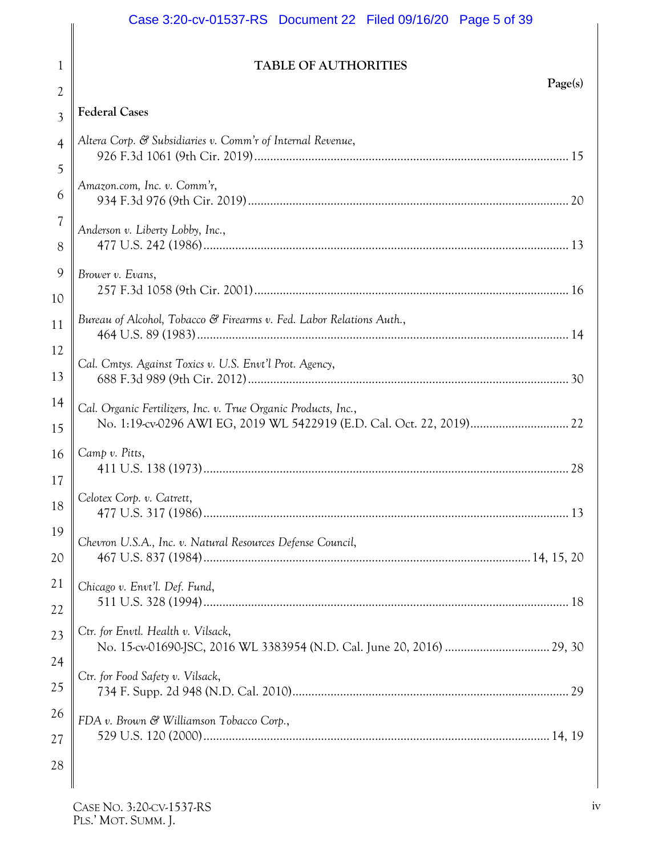## Case 3:20-cv-01537-RS Document 22 Filed 09/16/20 Page 5 of 39

## **TABLE OF AUTHORITIES**

<span id="page-4-0"></span>

| 2              | Page(s)                                                              |
|----------------|----------------------------------------------------------------------|
| $\overline{3}$ | <b>Federal Cases</b>                                                 |
| $\overline{4}$ | Altera Corp. & Subsidiaries v. Comm'r of Internal Revenue,           |
| 5              |                                                                      |
| 6              | Amazon.com, Inc. v. Comm'r,                                          |
| 7              | Anderson v. Liberty Lobby, Inc.,                                     |
| 8              |                                                                      |
| 9              | Brower v. Evans,                                                     |
| 10             |                                                                      |
| 11             | Bureau of Alcohol, Tobacco & Firearms v. Fed. Labor Relations Auth., |
| 12             | Cal. Cmtys. Against Toxics v. U.S. Envt'l Prot. Agency,              |
| 13             |                                                                      |
| 14             | Cal. Organic Fertilizers, Inc. v. True Organic Products, Inc.,       |
| 15             |                                                                      |
| 16             | Camp v. Pitts,                                                       |
| 17             |                                                                      |
| 18             | Celotex Corp. v. Catrett,                                            |
| 19             | Chevron U.S.A., Inc. v. Natural Resources Defense Council,           |
| 20             |                                                                      |
| 21             | Chicago v. Envt'l. Def. Fund,                                        |
| 22             |                                                                      |
| 23             | Ctr. for Envtl. Health v. Vilsack,                                   |
| 24             | Ctr. for Food Safety v. Vilsack,                                     |
| 25             |                                                                      |
| 26             | FDA v. Brown & Williamson Tobacco Corp.,                             |
| 27             |                                                                      |
| 28             |                                                                      |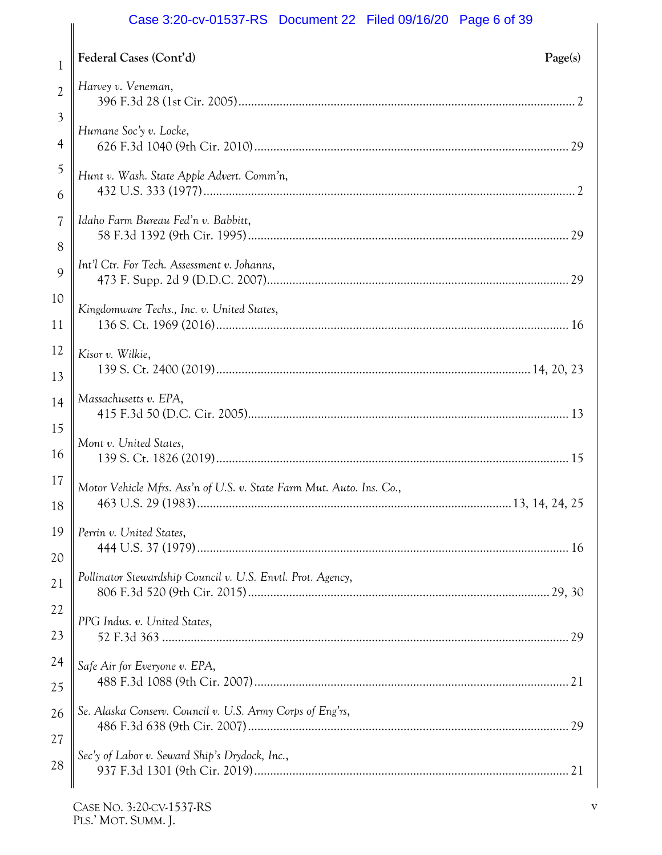## Case 3:20-cv-01537-RS Document 22 Filed 09/16/20 Page 6 of 39

|                | Case 3.20-CV-01337-RS DOCUMENT 22 FIEQ 09/10/20 Page 6 01 39         |
|----------------|----------------------------------------------------------------------|
| $\mathbf{1}$   | Federal Cases (Cont'd)<br>Page(s)                                    |
| $\overline{2}$ | Harvey v. Veneman,                                                   |
| 3              | Humane Soc'y v. Locke,                                               |
| 4              |                                                                      |
| 5              | Hunt v. Wash. State Apple Advert. Comm'n,                            |
| 6              |                                                                      |
| 7              | Idaho Farm Bureau Fed'n v. Babbitt,                                  |
| 8              |                                                                      |
| 9              | Int'l Ctr. For Tech. Assessment v. Johanns,                          |
| 10             | Kingdomware Techs., Inc. v. United States,                           |
| 11             |                                                                      |
| 12             | Kisor v. Wilkie,                                                     |
| 13             |                                                                      |
| 14             | Massachusetts v. EPA,                                                |
| 15             |                                                                      |
| 16             | Mont v. United States,                                               |
| 17             | Motor Vehicle Mfrs. Ass'n of U.S. v. State Farm Mut. Auto. Ins. Co., |
| 18             |                                                                      |
| 19             | Perrin v. United States,                                             |
| 20             |                                                                      |
| 21             | Pollinator Stewardship Council v. U.S. Envtl. Prot. Agency,          |
| 22             | PPG Indus. v. United States,                                         |
| 23             |                                                                      |
| 24             | Safe Air for Everyone v. EPA,                                        |
| 25             |                                                                      |
| 26             | Se. Alaska Conserv. Council v. U.S. Army Corps of Eng'rs,            |
| 27             |                                                                      |
| 28             | Sec'y of Labor v. Seward Ship's Drydock, Inc.,                       |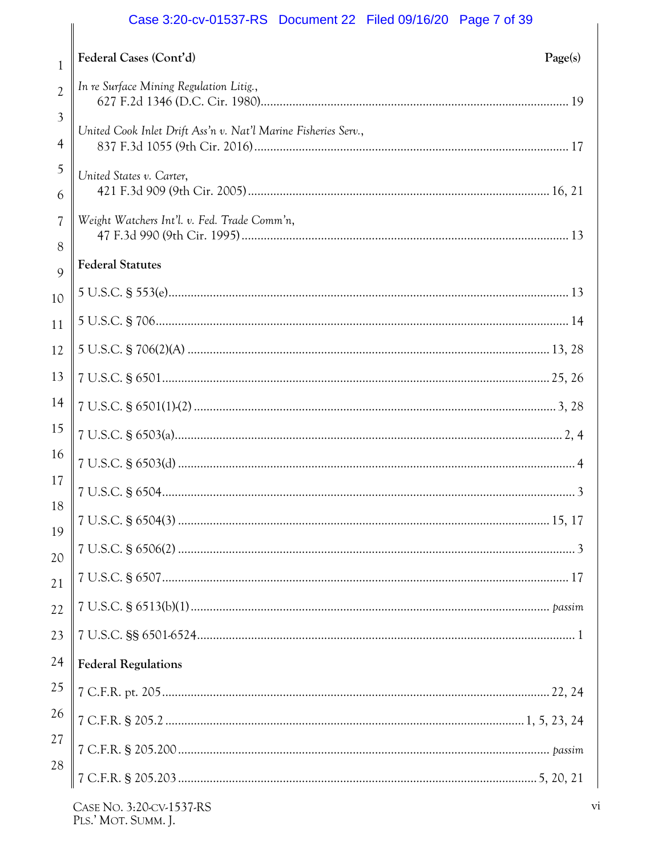## Case 3:20-cv-01537-RS Document 22 Filed 09/16/20 Page 7 of 39

|                               | Case 3.20-00-01337-NS DOCUMENTED LATER 09/10/20 Fage 7 01:39   |
|-------------------------------|----------------------------------------------------------------|
| $\mathbf{1}$                  | Federal Cases (Cont'd)<br>Page(s)                              |
| $\overline{2}$                | In re Surface Mining Regulation Litig.,                        |
| $\mathfrak{Z}$<br>4           | United Cook Inlet Drift Ass'n v. Nat'l Marine Fisheries Serv., |
| 5<br>6                        | United States v. Carter,                                       |
| $\overline{\mathcal{U}}$<br>8 | Weight Watchers Int'l. v. Fed. Trade Comm'n,                   |
| $\overline{Q}$                | <b>Federal Statutes</b>                                        |
| 10                            |                                                                |
| 11                            |                                                                |
| 12                            |                                                                |
| 13                            |                                                                |
| 14                            |                                                                |
| 15                            |                                                                |
| 16                            |                                                                |
| 17                            |                                                                |
| 18                            |                                                                |
| 19                            |                                                                |
| 20<br>21                      |                                                                |
| 22                            |                                                                |
| 23                            |                                                                |
| 24                            | <b>Federal Regulations</b>                                     |
| 25                            |                                                                |
| 26                            |                                                                |
| 27                            |                                                                |
| 28                            | 7                                                              |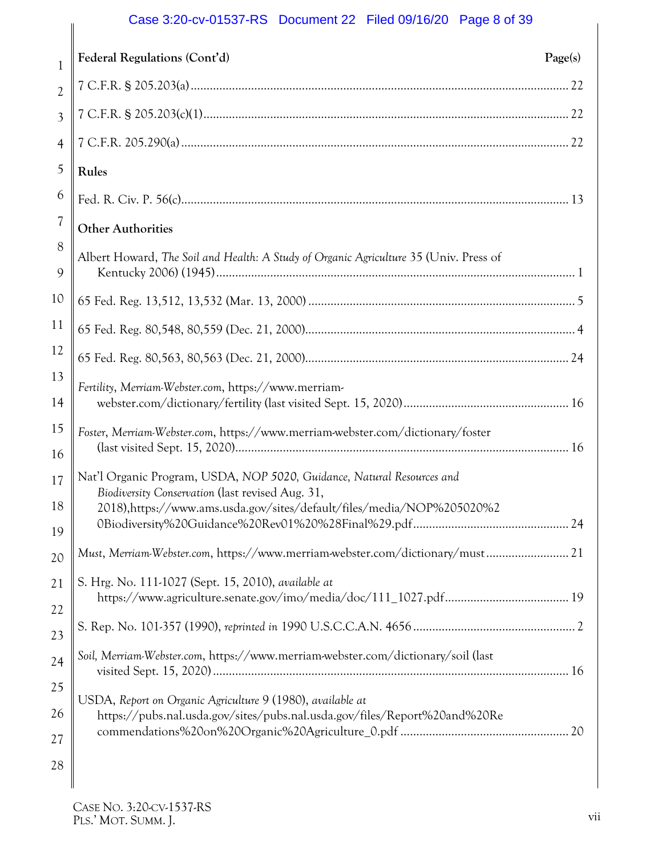## Case 3:20-cv-01537-RS Document 22 Filed 09/16/20 Page 8 of 39

|                          | Case 3.20-CV-01337-RS DOCUMENTED 22 FIEU 09/10/20 Faye 6 01 39                                                                                                                                      |
|--------------------------|-----------------------------------------------------------------------------------------------------------------------------------------------------------------------------------------------------|
| $\mathbf{1}$             | Federal Regulations (Cont'd)<br>Page(s)                                                                                                                                                             |
| $\overline{2}$           |                                                                                                                                                                                                     |
| $\overline{3}$           |                                                                                                                                                                                                     |
| $\overline{4}$           |                                                                                                                                                                                                     |
| 5                        | Rules                                                                                                                                                                                               |
| 6                        |                                                                                                                                                                                                     |
| $\overline{\mathcal{U}}$ | <b>Other Authorities</b>                                                                                                                                                                            |
| 8<br>9                   | Albert Howard, The Soil and Health: A Study of Organic Agriculture 35 (Univ. Press of                                                                                                               |
| 10                       |                                                                                                                                                                                                     |
| 11                       |                                                                                                                                                                                                     |
| 12                       |                                                                                                                                                                                                     |
| 13<br>14                 | Fertility, Merriam-Webster.com, https://www.merriam-                                                                                                                                                |
| 15<br>16                 | Foster, Merriam-Webster.com, https://www.merriam-webster.com/dictionary/foster                                                                                                                      |
| 17<br>18                 | Nat'l Organic Program, USDA, NOP 5020, Guidance, Natural Resources and<br>Biodiversity Conservation (last revised Aug. 31,<br>2018),https://www.ams.usda.gov/sites/default/files/media/NOP%205020%2 |
| 19                       |                                                                                                                                                                                                     |
| 20                       | Must, Merriam-Webster.com, https://www.merriam-webster.com/dictionary/must 21                                                                                                                       |
| 21                       | S. Hrg. No. 111-1027 (Sept. 15, 2010), available at                                                                                                                                                 |
| 22                       |                                                                                                                                                                                                     |
| 23                       |                                                                                                                                                                                                     |
| 24                       | Soil, Merriam-Webster.com, https://www.merriam-webster.com/dictionary/soil (last                                                                                                                    |
| 25                       | USDA, Report on Organic Agriculture 9 (1980), available at                                                                                                                                          |
| 26                       | https://pubs.nal.usda.gov/sites/pubs.nal.usda.gov/files/Report%20and%20Re                                                                                                                           |
| 27                       |                                                                                                                                                                                                     |
| 28                       |                                                                                                                                                                                                     |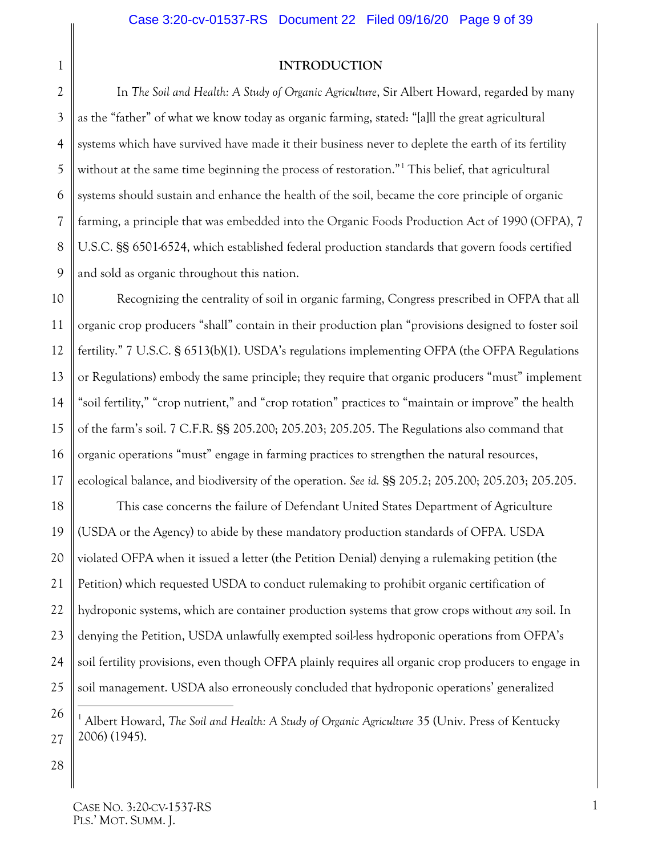#### <span id="page-8-1"></span>**INTRODUCTION**

2 4 5 6 9 In *The Soil and Health: A Study of Organic Agriculture*, Sir Albert Howard, regarded by many as the "father" of what we know today as organic farming, stated: "[a]ll the great agricultural systems which have survived have made it their business never to deplete the earth of its fertility without at the same time beginning the process of restoration."<sup>[1](#page-8-4)</sup> This belief, that agricultural systems should sustain and enhance the health of the soil, became the core principle of organic farming, a principle that was embedded into the Organic Foods Production Act of 1990 (OFPA), 7 U.S.C. §§ 6501-6524, which established federal production standards that govern foods certified and sold as organic throughout this nation.

10 12 13 14 15 16 Recognizing the centrality of soil in organic farming, Congress prescribed in OFPA that all organic crop producers "shall" contain in their production plan "provisions designed to foster soil fertility." 7 U.S.C. § 6513(b)(1). USDA's regulations implementing OFPA (the OFPA Regulations or Regulations) embody the same principle; they require that organic producers "must" implement "soil fertility," "crop nutrient," and "crop rotation" practices to "maintain or improve" the health of the farm's soil. 7 C.F.R. §§ 205.200; 205.203; 205.205. The Regulations also command that organic operations "must" engage in farming practices to strengthen the natural resources, ecological balance, and biodiversity of the operation. *See id.* §§ 205.2; 205.200; 205.203; 205.205.

<span id="page-8-2"></span>18 19 20 21 22 23 24 25 This case concerns the failure of Defendant United States Department of Agriculture (USDA or the Agency) to abide by these mandatory production standards of OFPA. USDA violated OFPA when it issued a letter (the Petition Denial) denying a rulemaking petition (the Petition) which requested USDA to conduct rulemaking to prohibit organic certification of hydroponic systems, which are container production systems that grow crops without *any* soil. In denying the Petition, USDA unlawfully exempted soil-less hydroponic operations from OFPA's soil fertility provisions, even though OFPA plainly requires all organic crop producers to engage in soil management. USDA also erroneously concluded that hydroponic operations' generalized

<span id="page-8-4"></span><span id="page-8-3"></span>26 27 <sup>1</sup> Albert Howard, *The Soil and Health: A Study of Organic Agriculture* 35 (Univ. Press of Kentucky 2006) (1945).

28

<span id="page-8-0"></span>1

3

7

8

11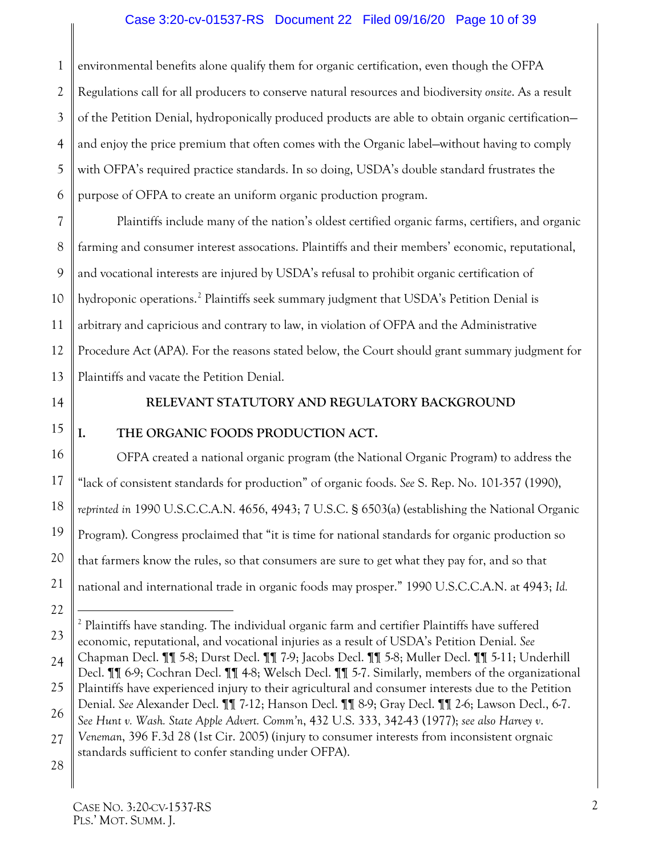#### Case 3:20-cv-01537-RS Document 22 Filed 09/16/20 Page 10 of 39

1 2 3 4 5 6 environmental benefits alone qualify them for organic certification, even though the OFPA Regulations call for all producers to conserve natural resources and biodiversity *onsite*. As a result of the Petition Denial, hydroponically produced products are able to obtain organic certification and enjoy the price premium that often comes with the Organic label—without having to comply with OFPA's required practice standards. In so doing, USDA's double standard frustrates the purpose of OFPA to create an uniform organic production program.

7 8 9 10 11 12 13 Plaintiffs include many of the nation's oldest certified organic farms, certifiers, and organic farming and consumer interest assocations. Plaintiffs and their members' economic, reputational, and vocational interests are injured by USDA's refusal to prohibit organic certification of hydroponic operations.<sup>[2](#page-9-6)</sup> Plaintiffs seek summary judgment that USDA's Petition Denial is arbitrary and capricious and contrary to law, in violation of OFPA and the Administrative Procedure Act (APA). For the reasons stated below, the Court should grant summary judgment for Plaintiffs and vacate the Petition Denial.

<span id="page-9-0"></span>14

#### <span id="page-9-5"></span><span id="page-9-4"></span>**RELEVANT STATUTORY AND REGULATORY BACKGROUND**

## 15

16

17

18

19

## <span id="page-9-1"></span>**I. THE ORGANIC FOODS PRODUCTION ACT.**

OFPA created a national organic program (the National Organic Program) to address the "lack of consistent standards for production" of organic foods. *See* S. Rep. No. 101-357 (1990), *reprinted in* 1990 U.S.C.C.A.N. 4656, 4943; 7 U.S.C. § 6503(a) (establishing the National Organic Program). Congress proclaimed that "it is time for national standards for organic production so that farmers know the rules, so that consumers are sure to get what they pay for, and so that national and international trade in organic foods may prosper." 1990 U.S.C.C.A.N. at 4943; *Id.*

<sup>20</sup> 21 22 23 24

<span id="page-9-6"></span> $<sup>2</sup>$  Plaintiffs have standing. The individual organic farm and certifier Plaintiffs have suffered</sup> economic, reputational, and vocational injuries as a result of USDA's Petition Denial. *See*  Chapman Decl. ¶¶ 5-8; Durst Decl. ¶¶ 7-9; Jacobs Decl. ¶¶ 5-8; Muller Decl. ¶¶ 5-11; Underhill

<sup>25</sup> 26 Decl. ¶¶ 6-9; Cochran Decl. ¶¶ 4-8; Welsch Decl. ¶¶ 5-7. Similarly, members of the organizational Plaintiffs have experienced injury to their agricultural and consumer interests due to the Petition Denial. *See* Alexander Decl. ¶¶ 7-12; Hanson Decl. ¶¶ 8-9; Gray Decl. ¶¶ 2-6; Lawson Decl., 6-7. *See Hunt v. Wash. State Apple Advert. Comm'n*, 432 U.S. 333, 342-43 (1977); *see also Harvey v*.

<span id="page-9-3"></span><span id="page-9-2"></span><sup>27</sup> *Veneman*, 396 F.3d 28 (1st Cir. 2005) (injury to consumer interests from inconsistent orgnaic standards sufficient to confer standing under OFPA).

<sup>28</sup>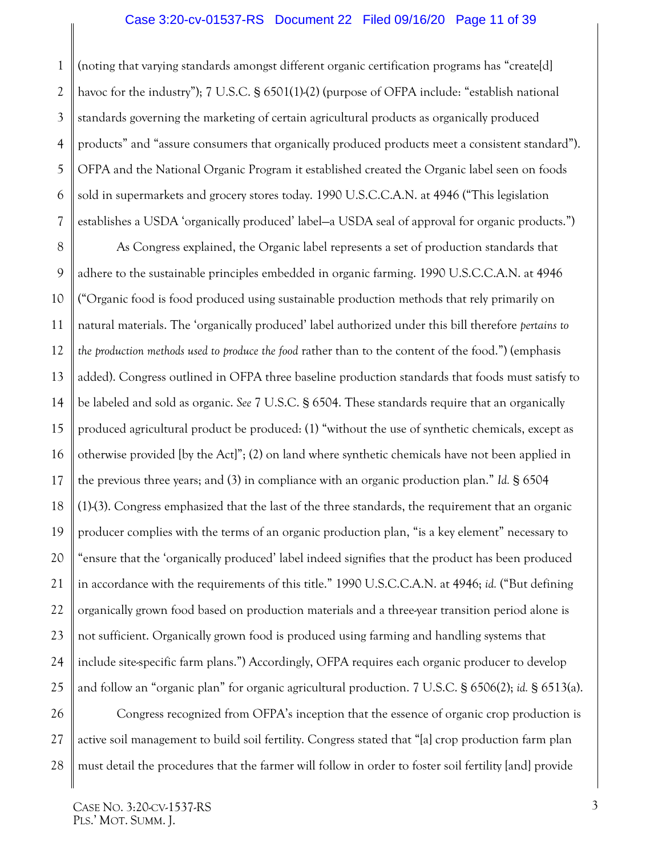<span id="page-10-0"></span>1 2 3 4 5 6 7 (noting that varying standards amongst different organic certification programs has "create[d] havoc for the industry"); 7 U.S.C. § 6501(1)-(2) (purpose of OFPA include: "establish national standards governing the marketing of certain agricultural products as organically produced products" and "assure consumers that organically produced products meet a consistent standard"). OFPA and the National Organic Program it established created the Organic label seen on foods sold in supermarkets and grocery stores today. 1990 U.S.C.C.A.N. at 4946 ("This legislation establishes a USDA 'organically produced' label—a USDA seal of approval for organic products.")

<span id="page-10-1"></span>8 9 10 11 12 13 14 15 16 17 18 19 20 21 22 23 24 25 As Congress explained, the Organic label represents a set of production standards that adhere to the sustainable principles embedded in organic farming. 1990 U.S.C.C.A.N. at 4946 ("Organic food is food produced using sustainable production methods that rely primarily on natural materials. The 'organically produced' label authorized under this bill therefore *pertains to the production methods used to produce the food* rather than to the content of the food.") (emphasis added). Congress outlined in OFPA three baseline production standards that foods must satisfy to be labeled and sold as organic. *See* 7 U.S.C. § 6504. These standards require that an organically produced agricultural product be produced: (1) "without the use of synthetic chemicals, except as otherwise provided [by the Act]"; (2) on land where synthetic chemicals have not been applied in the previous three years; and (3) in compliance with an organic production plan." *Id.* § 6504 (1)-(3). Congress emphasized that the last of the three standards, the requirement that an organic producer complies with the terms of an organic production plan, "is a key element" necessary to "ensure that the 'organically produced' label indeed signifies that the product has been produced in accordance with the requirements of this title." 1990 U.S.C.C.A.N. at 4946; *id.* ("But defining organically grown food based on production materials and a three-year transition period alone is not sufficient. Organically grown food is produced using farming and handling systems that include site-specific farm plans.") Accordingly, OFPA requires each organic producer to develop and follow an "organic plan" for organic agricultural production. 7 U.S.C. § 6506(2); *id.* § 6513(a).

<span id="page-10-2"></span>26 27 28 Congress recognized from OFPA's inception that the essence of organic crop production is active soil management to build soil fertility. Congress stated that "[a] crop production farm plan must detail the procedures that the farmer will follow in order to foster soil fertility [and] provide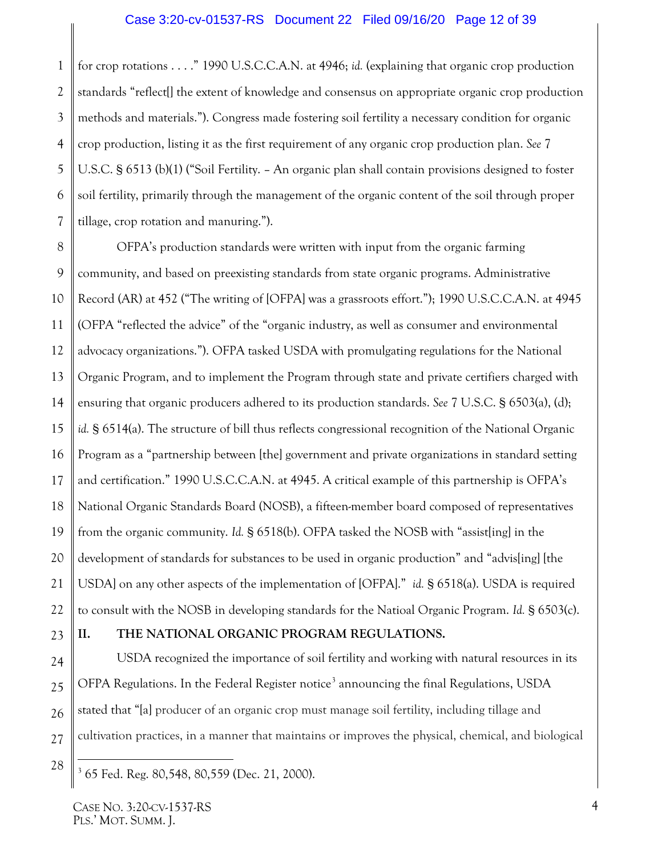1 2 3 4 5 6 7 for crop rotations . . . ." 1990 U.S.C.C.A.N. at 4946; *id.* (explaining that organic crop production standards "reflect[] the extent of knowledge and consensus on appropriate organic crop production methods and materials."). Congress made fostering soil fertility a necessary condition for organic crop production, listing it as the first requirement of any organic crop production plan. *See* 7 U.S.C. § 6513 (b)(1) ("Soil Fertility. – An organic plan shall contain provisions designed to foster soil fertility, primarily through the management of the organic content of the soil through proper tillage, crop rotation and manuring.").

<span id="page-11-1"></span>8 9 10 11 12 13 14 15 16 17 18 19 20 21 22 OFPA's production standards were written with input from the organic farming community, and based on preexisting standards from state organic programs. Administrative Record (AR) at 452 ("The writing of [OFPA] was a grassroots effort."); 1990 U.S.C.C.A.N. at 4945 (OFPA "reflected the advice" of the "organic industry, as well as consumer and environmental advocacy organizations."). OFPA tasked USDA with promulgating regulations for the National Organic Program, and to implement the Program through state and private certifiers charged with ensuring that organic producers adhered to its production standards. *See* 7 U.S.C. § 6503(a), (d); *id.* § 6514(a). The structure of bill thus reflects congressional recognition of the National Organic Program as a "partnership between [the] government and private organizations in standard setting and certification." 1990 U.S.C.C.A.N. at 4945. A critical example of this partnership is OFPA's National Organic Standards Board (NOSB), a fifteen-member board composed of representatives from the organic community. *Id.* § 6518(b). OFPA tasked the NOSB with "assist[ing] in the development of standards for substances to be used in organic production" and "advisling] [the USDA] on any other aspects of the implementation of [OFPA]." *id.* § 6518(a). USDA is required to consult with the NOSB in developing standards for the Natioal Organic Program. *Id.* § 6503(c).

23

## <span id="page-11-0"></span>**II. THE NATIONAL ORGANIC PROGRAM REGULATIONS.**

24 25 26 27 USDA recognized the importance of soil fertility and working with natural resources in its OFPA Regulations. In the Federal Register notice<sup>[3](#page-11-3)</sup> announcing the final Regulations, USDA stated that "[a] producer of an organic crop must manage soil fertility, including tillage and cultivation practices, in a manner that maintains or improves the physical, chemical, and biological

<span id="page-11-3"></span><sup>28</sup>

<span id="page-11-2"></span> <sup>3</sup> 65 Fed. Reg. 80,548, 80,559 (Dec. 21, 2000).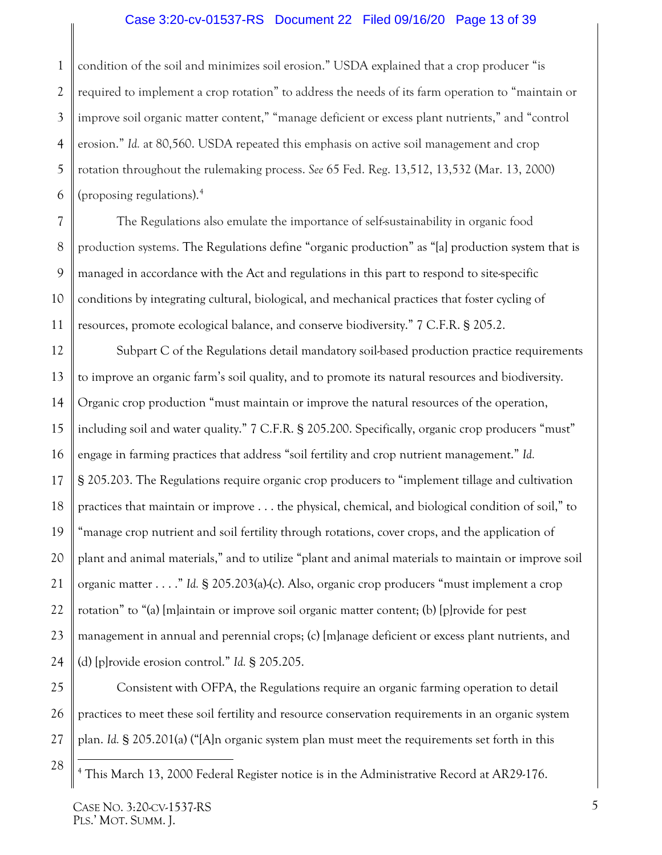#### <span id="page-12-1"></span>Case 3:20-cv-01537-RS Document 22 Filed 09/16/20 Page 13 of 39

1 2 3 4 5 6 condition of the soil and minimizes soil erosion." USDA explained that a crop producer "is required to implement a crop rotation" to address the needs of its farm operation to "maintain or improve soil organic matter content," "manage deficient or excess plant nutrients," and "control erosion." *Id.* at 80,560. USDA repeated this emphasis on active soil management and crop rotation throughout the rulemaking process. *See* 65 Fed. Reg. 13,512, 13,532 (Mar. 13, 2000) (proposing regulations). [4](#page-12-2)

7 9 10 The Regulations also emulate the importance of self-sustainability in organic food production systems. The Regulations define "organic production" as "[a] production system that is managed in accordance with the Act and regulations in this part to respond to site-specific conditions by integrating cultural, biological, and mechanical practices that foster cycling of resources, promote ecological balance, and conserve biodiversity." 7 C.F.R. § 205.2.

12 13 14 15 16 17 18 19 20 21 22 23 24 Subpart C of the Regulations detail mandatory soil-based production practice requirements to improve an organic farm's soil quality, and to promote its natural resources and biodiversity. Organic crop production "must maintain or improve the natural resources of the operation, including soil and water quality." 7 C.F.R. § 205.200. Specifically, organic crop producers "must" engage in farming practices that address "soil fertility and crop nutrient management." *Id.*  § 205.203. The Regulations require organic crop producers to "implement tillage and cultivation practices that maintain or improve . . . the physical, chemical, and biological condition of soil," to "manage crop nutrient and soil fertility through rotations, cover crops, and the application of plant and animal materials," and to utilize "plant and animal materials to maintain or improve soil organic matter . . . ." *Id.* § 205.203(a)-(c). Also, organic crop producers "must implement a crop rotation" to "(a) [m]aintain or improve soil organic matter content; (b) [p]rovide for pest management in annual and perennial crops; (c) [m]anage deficient or excess plant nutrients, and (d) [p]rovide erosion control." *Id.* § 205.205.

25 26 27 Consistent with OFPA, the Regulations require an organic farming operation to detail practices to meet these soil fertility and resource conservation requirements in an organic system plan. *Id.* § 205.201(a) ("[A]n organic system plan must meet the requirements set forth in this

<span id="page-12-2"></span>28

<span id="page-12-0"></span>8

 <sup>4</sup> This March 13, 2000 Federal Register notice is in the Administrative Record at AR29-176.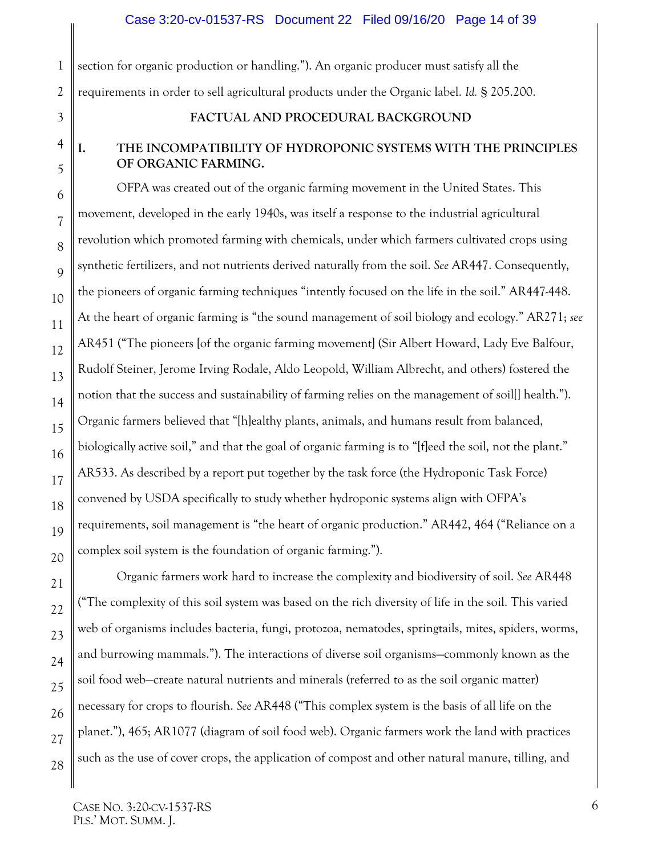section for organic production or handling."). An organic producer must satisfy all the requirements in order to sell agricultural products under the Organic label. *Id.* § 205.200.

<span id="page-13-0"></span>3

1

2

## **FACTUAL AND PROCEDURAL BACKGROUND**

## <span id="page-13-1"></span>**I. THE INCOMPATIBILITY OF HYDROPONIC SYSTEMS WITH THE PRINCIPLES OF ORGANIC FARMING.**

OFPA was created out of the organic farming movement in the United States. This movement, developed in the early 1940s, was itself a response to the industrial agricultural revolution which promoted farming with chemicals, under which farmers cultivated crops using synthetic fertilizers, and not nutrients derived naturally from the soil. *See* AR447. Consequently, the pioneers of organic farming techniques "intently focused on the life in the soil." AR447-448. At the heart of organic farming is "the sound management of soil biology and ecology." AR271; *see*  AR451 ("The pioneers [of the organic farming movement] (Sir Albert Howard, Lady Eve Balfour, Rudolf Steiner, Jerome Irving Rodale, Aldo Leopold, William Albrecht, and others) fostered the notion that the success and sustainability of farming relies on the management of soil[] health."). Organic farmers believed that "[h]ealthy plants, animals, and humans result from balanced, biologically active soil," and that the goal of organic farming is to "[fleed the soil, not the plant." AR533. As described by a report put together by the task force (the Hydroponic Task Force) convened by USDA specifically to study whether hydroponic systems align with OFPA's requirements, soil management is "the heart of organic production." AR442, 464 ("Reliance on a complex soil system is the foundation of organic farming.").

Organic farmers work hard to increase the complexity and biodiversity of soil. *See* AR448 ("The complexity of this soil system was based on the rich diversity of life in the soil. This varied web of organisms includes bacteria, fungi, protozoa, nematodes, springtails, mites, spiders, worms, and burrowing mammals."). The interactions of diverse soil organisms—commonly known as the soil food web—create natural nutrients and minerals (referred to as the soil organic matter) necessary for crops to flourish. *See* AR448 ("This complex system is the basis of all life on the planet."), 465; AR1077 (diagram of soil food web). Organic farmers work the land with practices such as the use of cover crops, the application of compost and other natural manure, tilling, and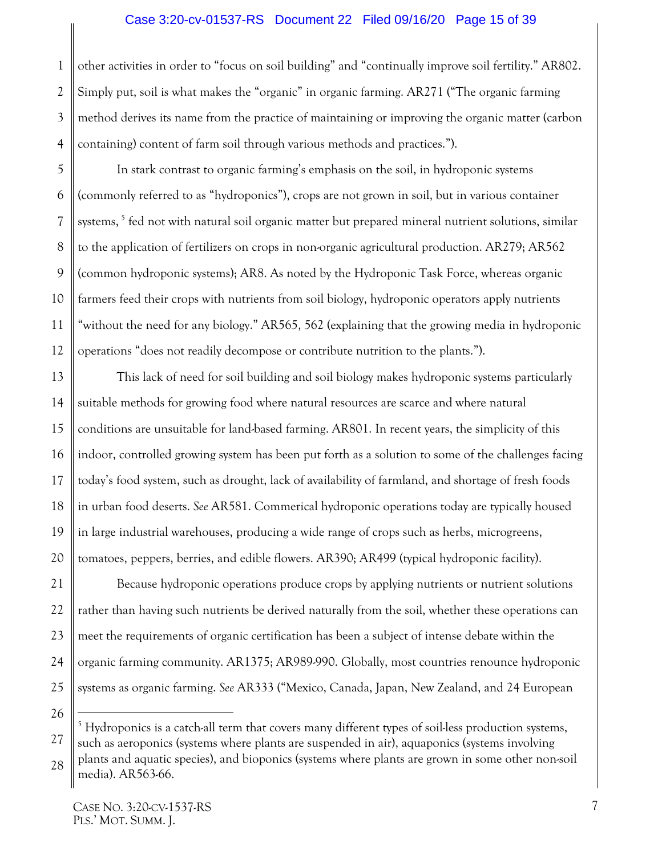#### Case 3:20-cv-01537-RS Document 22 Filed 09/16/20 Page 15 of 39

1 2 3 4 other activities in order to "focus on soil building" and "continually improve soil fertility." AR802. Simply put, soil is what makes the "organic" in organic farming. AR271 ("The organic farming method derives its name from the practice of maintaining or improving the organic matter (carbon containing) content of farm soil through various methods and practices.").

5 6 7 8 9 10 11 12 In stark contrast to organic farming's emphasis on the soil, in hydroponic systems (commonly referred to as "hydroponics"), crops are not grown in soil, but in various container systems,<sup>[5](#page-14-0)</sup> fed not with natural soil organic matter but prepared mineral nutrient solutions, similar to the application of fertilizers on crops in non-organic agricultural production. AR279; AR562 (common hydroponic systems); AR8. As noted by the Hydroponic Task Force, whereas organic farmers feed their crops with nutrients from soil biology, hydroponic operators apply nutrients "without the need for any biology." AR565, 562 (explaining that the growing media in hydroponic operations "does not readily decompose or contribute nutrition to the plants.").

13 14 15 16 17 18 19 20 This lack of need for soil building and soil biology makes hydroponic systems particularly suitable methods for growing food where natural resources are scarce and where natural conditions are unsuitable for land-based farming. AR801. In recent years, the simplicity of this indoor, controlled growing system has been put forth as a solution to some of the challenges facing today's food system, such as drought, lack of availability of farmland, and shortage of fresh foods in urban food deserts. *See* AR581. Commerical hydroponic operations today are typically housed in large industrial warehouses, producing a wide range of crops such as herbs, microgreens, tomatoes, peppers, berries, and edible flowers. AR390; AR499 (typical hydroponic facility).

21 22 23 24 25 Because hydroponic operations produce crops by applying nutrients or nutrient solutions rather than having such nutrients be derived naturally from the soil, whether these operations can meet the requirements of organic certification has been a subject of intense debate within the organic farming community. AR1375; AR989-990. Globally, most countries renounce hydroponic systems as organic farming. *See* AR333 ("Mexico, Canada, Japan, New Zealand, and 24 European

<span id="page-14-0"></span><sup>27</sup> 28 <sup>5</sup> Hydroponics is a catch-all term that covers many different types of soil-less production systems, such as aeroponics (systems where plants are suspended in air), aquaponics (systems involving plants and aquatic species), and bioponics (systems where plants are grown in some other non-soil media). AR563-66.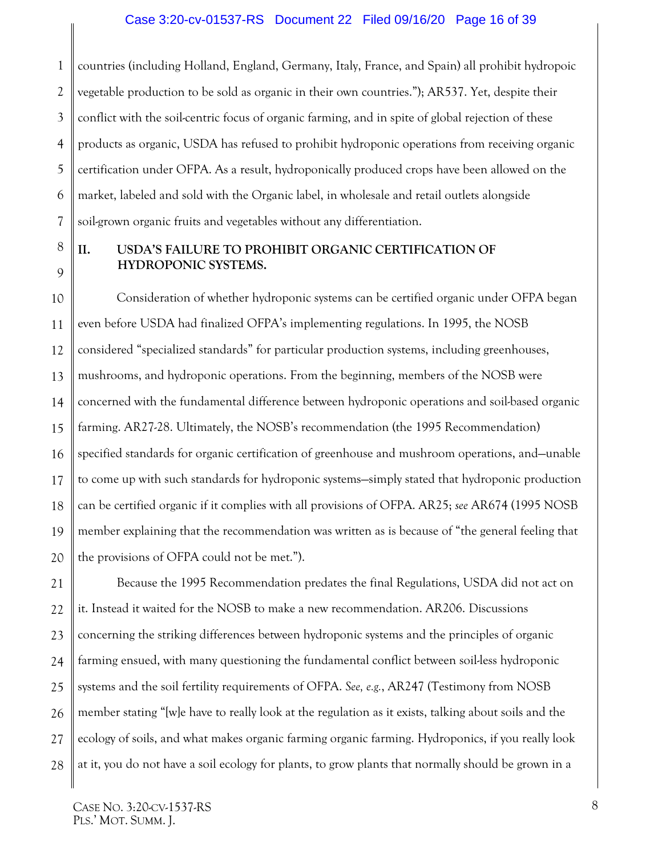1 2 3 4 5 6 7 countries (including Holland, England, Germany, Italy, France, and Spain) all prohibit hydropoic vegetable production to be sold as organic in their own countries."); AR537. Yet, despite their conflict with the soil-centric focus of organic farming, and in spite of global rejection of these products as organic, USDA has refused to prohibit hydroponic operations from receiving organic certification under OFPA. As a result, hydroponically produced crops have been allowed on the market, labeled and sold with the Organic label, in wholesale and retail outlets alongside soil-grown organic fruits and vegetables without any differentiation.

8

9

### <span id="page-15-0"></span>**II. USDA'S FAILURE TO PROHIBIT ORGANIC CERTIFICATION OF HYDROPONIC SYSTEMS.**

10 11 12 13 14 15 16 17 18 19 20 Consideration of whether hydroponic systems can be certified organic under OFPA began even before USDA had finalized OFPA's implementing regulations. In 1995, the NOSB considered "specialized standards" for particular production systems, including greenhouses, mushrooms, and hydroponic operations. From the beginning, members of the NOSB were concerned with the fundamental difference between hydroponic operations and soil-based organic farming. AR27-28. Ultimately, the NOSB's recommendation (the 1995 Recommendation) specified standards for organic certification of greenhouse and mushroom operations, and—unable to come up with such standards for hydroponic systems—simply stated that hydroponic production can be certified organic if it complies with all provisions of OFPA. AR25; *see* AR674 (1995 NOSB member explaining that the recommendation was written as is because of "the general feeling that the provisions of OFPA could not be met.").

21 22 23 24 25 26 27 28 Because the 1995 Recommendation predates the final Regulations, USDA did not act on it. Instead it waited for the NOSB to make a new recommendation. AR206. Discussions concerning the striking differences between hydroponic systems and the principles of organic farming ensued, with many questioning the fundamental conflict between soil-less hydroponic systems and the soil fertility requirements of OFPA. *See, e.g.*, AR247 (Testimony from NOSB member stating "[w]e have to really look at the regulation as it exists, talking about soils and the ecology of soils, and what makes organic farming organic farming. Hydroponics, if you really look at it, you do not have a soil ecology for plants, to grow plants that normally should be grown in a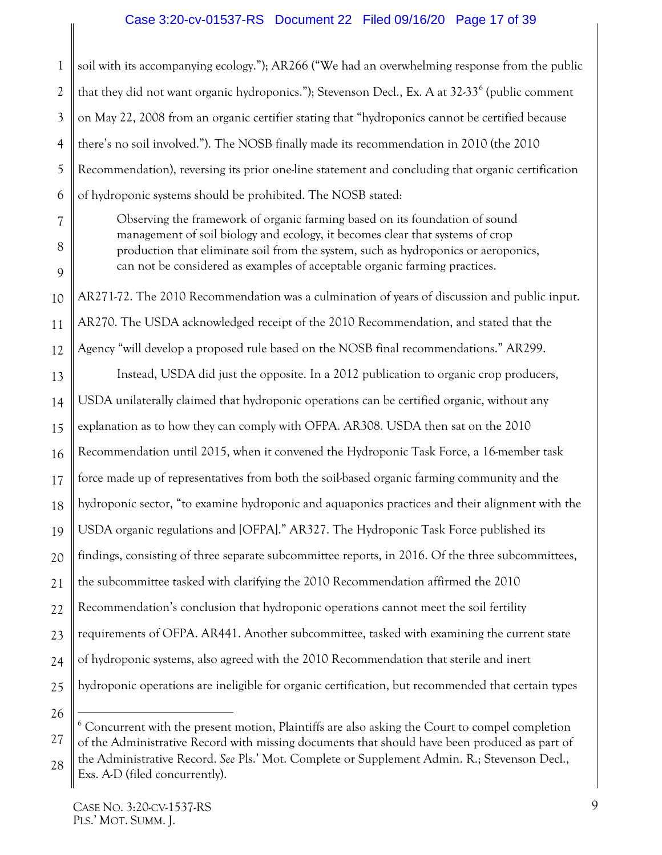#### Case 3:20-cv-01537-RS Document 22 Filed 09/16/20 Page 17 of 39

1 2 3 4 5 6 soil with its accompanying ecology."); AR266 ("We had an overwhelming response from the public that they did not want organic hydroponics."); Stevenson Decl., Ex. A at  $32-33<sup>6</sup>$  $32-33<sup>6</sup>$  $32-33<sup>6</sup>$  (public comment on May 22, 2008 from an organic certifier stating that "hydroponics cannot be certified because there's no soil involved."). The NOSB finally made its recommendation in 2010 (the 2010 Recommendation), reversing its prior one-line statement and concluding that organic certification of hydroponic systems should be prohibited. The NOSB stated:

> Observing the framework of organic farming based on its foundation of sound management of soil biology and ecology, it becomes clear that systems of crop production that eliminate soil from the system, such as hydroponics or aeroponics, can not be considered as examples of acceptable organic farming practices.

AR271-72. The 2010 Recommendation was a culmination of years of discussion and public input. AR270. The USDA acknowledged receipt of the 2010 Recommendation, and stated that the Agency "will develop a proposed rule based on the NOSB final recommendations." AR299.

13 14 15 16 17 18 19 20 21 22 23 24 25 Instead, USDA did just the opposite. In a 2012 publication to organic crop producers, USDA unilaterally claimed that hydroponic operations can be certified organic, without any explanation as to how they can comply with OFPA. AR308. USDA then sat on the 2010 Recommendation until 2015, when it convened the Hydroponic Task Force, a 16-member task force made up of representatives from both the soil-based organic farming community and the hydroponic sector, "to examine hydroponic and aquaponics practices and their alignment with the USDA organic regulations and [OFPA]." AR327. The Hydroponic Task Force published its findings, consisting of three separate subcommittee reports, in 2016. Of the three subcommittees, the subcommittee tasked with clarifying the 2010 Recommendation affirmed the 2010 Recommendation's conclusion that hydroponic operations cannot meet the soil fertility requirements of OFPA. AR441. Another subcommittee, tasked with examining the current state of hydroponic systems, also agreed with the 2010 Recommendation that sterile and inert hydroponic operations are ineligible for organic certification, but recommended that certain types

26 27

7

8

9

10

11

<span id="page-16-0"></span><sup>28</sup>  $6$  Concurrent with the present motion, Plaintiffs are also asking the Court to compel completion of the Administrative Record with missing documents that should have been produced as part of the Administrative Record. *See* Pls.' Mot. Complete or Supplement Admin. R.; Stevenson Decl.,

Exs. A-D (filed concurrently).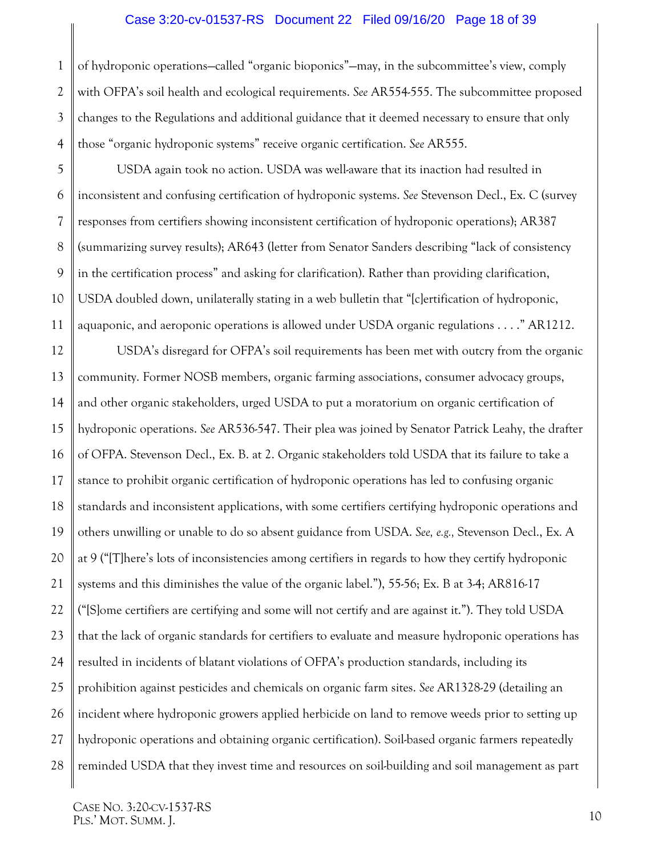#### Case 3:20-cv-01537-RS Document 22 Filed 09/16/20 Page 18 of 39

1 2 3 4 of hydroponic operations—called "organic bioponics"—may, in the subcommittee's view, comply with OFPA's soil health and ecological requirements. *See* AR554-555. The subcommittee proposed changes to the Regulations and additional guidance that it deemed necessary to ensure that only those "organic hydroponic systems" receive organic certification. *See* AR555.

5 6 7 8 9 10 11 USDA again took no action. USDA was well-aware that its inaction had resulted in inconsistent and confusing certification of hydroponic systems. *See* Stevenson Decl., Ex. C (survey responses from certifiers showing inconsistent certification of hydroponic operations); AR387 (summarizing survey results); AR643 (letter from Senator Sanders describing "lack of consistency in the certification process" and asking for clarification). Rather than providing clarification, USDA doubled down, unilaterally stating in a web bulletin that "[c]ertification of hydroponic, aquaponic, and aeroponic operations is allowed under USDA organic regulations . . . ." AR1212.

12 13 14 15 16 17 18 19 20 21 22 23 24 25 26 27 28 USDA's disregard for OFPA's soil requirements has been met with outcry from the organic community. Former NOSB members, organic farming associations, consumer advocacy groups, and other organic stakeholders, urged USDA to put a moratorium on organic certification of hydroponic operations. *See* AR536-547. Their plea was joined by Senator Patrick Leahy, the drafter of OFPA. Stevenson Decl., Ex. B. at 2. Organic stakeholders told USDA that its failure to take a stance to prohibit organic certification of hydroponic operations has led to confusing organic standards and inconsistent applications, with some certifiers certifying hydroponic operations and others unwilling or unable to do so absent guidance from USDA. *See, e.g.,* Stevenson Decl., Ex. A at 9 ("[T]here's lots of inconsistencies among certifiers in regards to how they certify hydroponic systems and this diminishes the value of the organic label."), 55-56; Ex. B at 3-4; AR816-17 ("[S]ome certifiers are certifying and some will not certify and are against it."). They told USDA that the lack of organic standards for certifiers to evaluate and measure hydroponic operations has resulted in incidents of blatant violations of OFPA's production standards, including its prohibition against pesticides and chemicals on organic farm sites. *See* AR1328-29 (detailing an incident where hydroponic growers applied herbicide on land to remove weeds prior to setting up hydroponic operations and obtaining organic certification). Soil-based organic farmers repeatedly reminded USDA that they invest time and resources on soil-building and soil management as part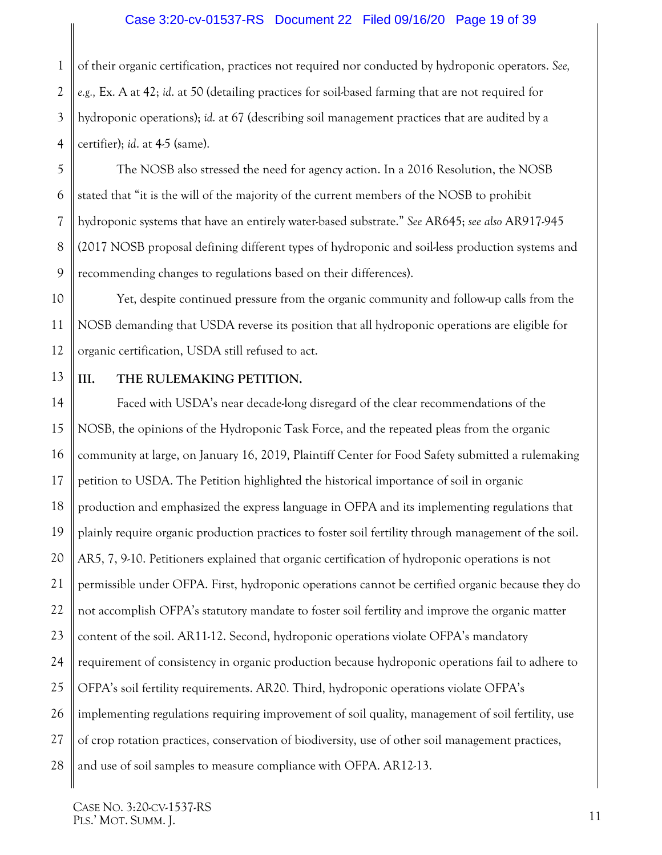#### Case 3:20-cv-01537-RS Document 22 Filed 09/16/20 Page 19 of 39

1 2 3 4 of their organic certification, practices not required nor conducted by hydroponic operators. *See, e.g.,* Ex. A at 42; *id*. at 50 (detailing practices for soil-based farming that are not required for hydroponic operations); *id.* at 67 (describing soil management practices that are audited by a certifier); *id*. at 4-5 (same).

5 6 7 8 9 The NOSB also stressed the need for agency action. In a 2016 Resolution, the NOSB stated that "it is the will of the majority of the current members of the NOSB to prohibit hydroponic systems that have an entirely water-based substrate." *See* AR645; *see also* AR917-945 (2017 NOSB proposal defining different types of hydroponic and soil-less production systems and recommending changes to regulations based on their differences).

10 11 12 Yet, despite continued pressure from the organic community and follow-up calls from the NOSB demanding that USDA reverse its position that all hydroponic operations are eligible for organic certification, USDA still refused to act.

13

#### <span id="page-18-0"></span>**III. THE RULEMAKING PETITION.**

14 15 16 17 18 19 20 21 22 23 24 25 26 27 28 Faced with USDA's near decade-long disregard of the clear recommendations of the NOSB, the opinions of the Hydroponic Task Force, and the repeated pleas from the organic community at large, on January 16, 2019, Plaintiff Center for Food Safety submitted a rulemaking petition to USDA. The Petition highlighted the historical importance of soil in organic production and emphasized the express language in OFPA and its implementing regulations that plainly require organic production practices to foster soil fertility through management of the soil. AR5, 7, 9-10. Petitioners explained that organic certification of hydroponic operations is not permissible under OFPA. First, hydroponic operations cannot be certified organic because they do not accomplish OFPA's statutory mandate to foster soil fertility and improve the organic matter content of the soil. AR11-12. Second, hydroponic operations violate OFPA's mandatory requirement of consistency in organic production because hydroponic operations fail to adhere to OFPA's soil fertility requirements. AR20. Third, hydroponic operations violate OFPA's implementing regulations requiring improvement of soil quality, management of soil fertility, use of crop rotation practices, conservation of biodiversity, use of other soil management practices, and use of soil samples to measure compliance with OFPA. AR12-13.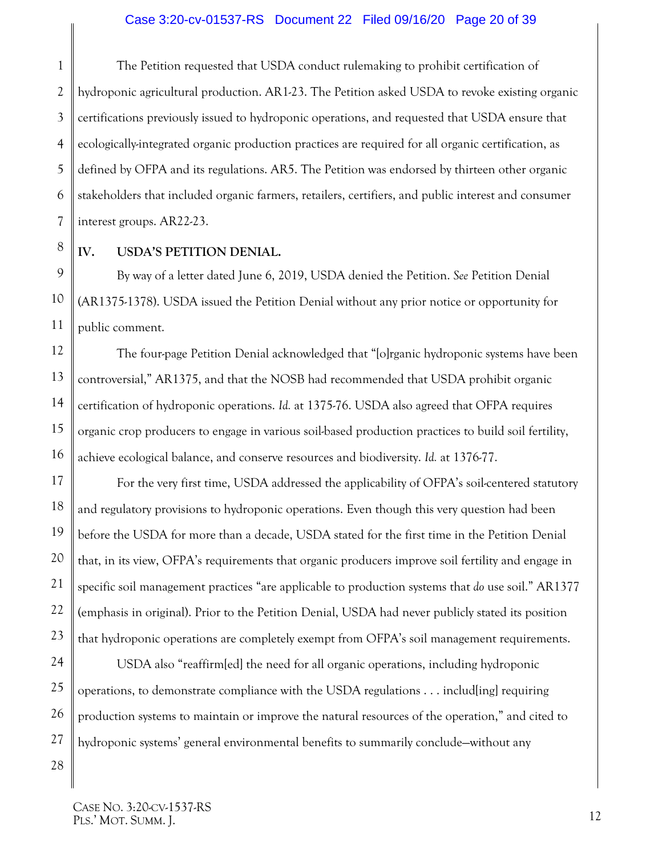1 2 3 4 5 6 7 The Petition requested that USDA conduct rulemaking to prohibit certification of hydroponic agricultural production. AR1-23. The Petition asked USDA to revoke existing organic certifications previously issued to hydroponic operations, and requested that USDA ensure that ecologically-integrated organic production practices are required for all organic certification, as defined by OFPA and its regulations. AR5. The Petition was endorsed by thirteen other organic stakeholders that included organic farmers, retailers, certifiers, and public interest and consumer interest groups. AR22-23.

8

9

10

11

17

18

19

20

21

22

23

28

### <span id="page-19-0"></span>**IV. USDA'S PETITION DENIAL.**

By way of a letter dated June 6, 2019, USDA denied the Petition. *See* Petition Denial (AR1375-1378). USDA issued the Petition Denial without any prior notice or opportunity for public comment.

12 13 14 15 16 The four-page Petition Denial acknowledged that "[o]rganic hydroponic systems have been controversial," AR1375, and that the NOSB had recommended that USDA prohibit organic certification of hydroponic operations. *Id.* at 1375-76. USDA also agreed that OFPA requires organic crop producers to engage in various soil-based production practices to build soil fertility, achieve ecological balance, and conserve resources and biodiversity. *Id.* at 1376-77.

For the very first time, USDA addressed the applicability of OFPA's soil-centered statutory and regulatory provisions to hydroponic operations. Even though this very question had been before the USDA for more than a decade, USDA stated for the first time in the Petition Denial that, in its view, OFPA's requirements that organic producers improve soil fertility and engage in specific soil management practices "are applicable to production systems that *do* use soil." AR1377 (emphasis in original). Prior to the Petition Denial, USDA had never publicly stated its position that hydroponic operations are completely exempt from OFPA's soil management requirements.

24 25 26 27 USDA also "reaffirm[ed] the need for all organic operations, including hydroponic operations, to demonstrate compliance with the USDA regulations . . . includ[ing] requiring production systems to maintain or improve the natural resources of the operation," and cited to hydroponic systems' general environmental benefits to summarily conclude—without any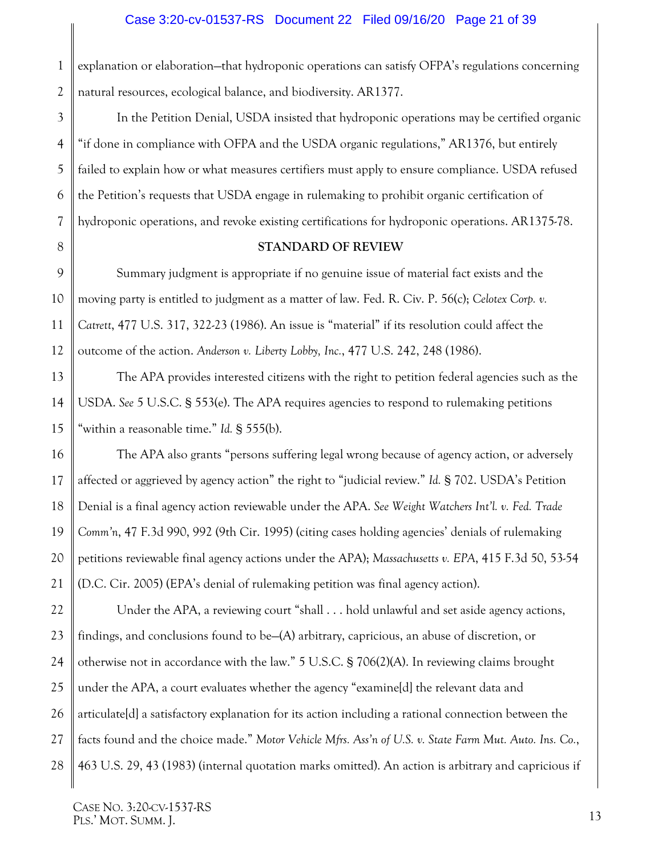1 2 explanation or elaboration—that hydroponic operations can satisfy OFPA's regulations concerning natural resources, ecological balance, and biodiversity. AR1377.

In the Petition Denial, USDA insisted that hydroponic operations may be certified organic "if done in compliance with OFPA and the USDA organic regulations," AR1376, but entirely failed to explain how or what measures certifiers must apply to ensure compliance. USDA refused the Petition's requests that USDA engage in rulemaking to prohibit organic certification of hydroponic operations, and revoke existing certifications for hydroponic operations. AR1375-78.

#### <span id="page-20-8"></span><span id="page-20-5"></span><span id="page-20-3"></span><span id="page-20-2"></span><span id="page-20-1"></span>**STANDARD OF REVIEW**

<span id="page-20-0"></span>Summary judgment is appropriate if no genuine issue of material fact exists and the moving party is entitled to judgment as a matter of law. Fed. R. Civ. P. 56(c); *Celotex Corp. v. Catrett*, 477 U.S. 317, 322-23 (1986). An issue is "material" if its resolution could affect the outcome of the action. *Anderson v. Liberty Lobby, Inc.*, 477 U.S. 242, 248 (1986).

<span id="page-20-6"></span>The APA provides interested citizens with the right to petition federal agencies such as the USDA. *See* 5 U.S.C. § 553(e). The APA requires agencies to respond to rulemaking petitions "within a reasonable time." *Id.* § 555(b).

The APA also grants "persons suffering legal wrong because of agency action, or adversely affected or aggrieved by agency action" the right to "judicial review." *Id.* § 702. USDA's Petition Denial is a final agency action reviewable under the APA. *See Weight Watchers Int'l. v. Fed. Trade Comm'n*, 47 F.3d 990, 992 (9th Cir. 1995) (citing cases holding agencies' denials of rulemaking petitions reviewable final agency actions under the APA); *Massachusetts v. EPA*, 415 F.3d 50, 53-54 (D.C. Cir. 2005) (EPA's denial of rulemaking petition was final agency action).

<span id="page-20-7"></span>Under the APA, a reviewing court "shall . . . hold unlawful and set aside agency actions, findings, and conclusions found to be—(A) arbitrary, capricious, an abuse of discretion, or otherwise not in accordance with the law." 5 U.S.C. § 706(2)(A). In reviewing claims brought under the APA, a court evaluates whether the agency "examine[d] the relevant data and articulate[d] a satisfactory explanation for its action including a rational connection between the facts found and the choice made." *Motor Vehicle Mfrs. Ass'n of U.S. v. State Farm Mut. Auto. Ins. Co.*, 463 U.S. 29, 43 (1983) (internal quotation marks omitted). An action is arbitrary and capricious if

3

<span id="page-20-4"></span>CASE NO. 3:20-CV-1537-RS PLS.' MOT. SUMM. J.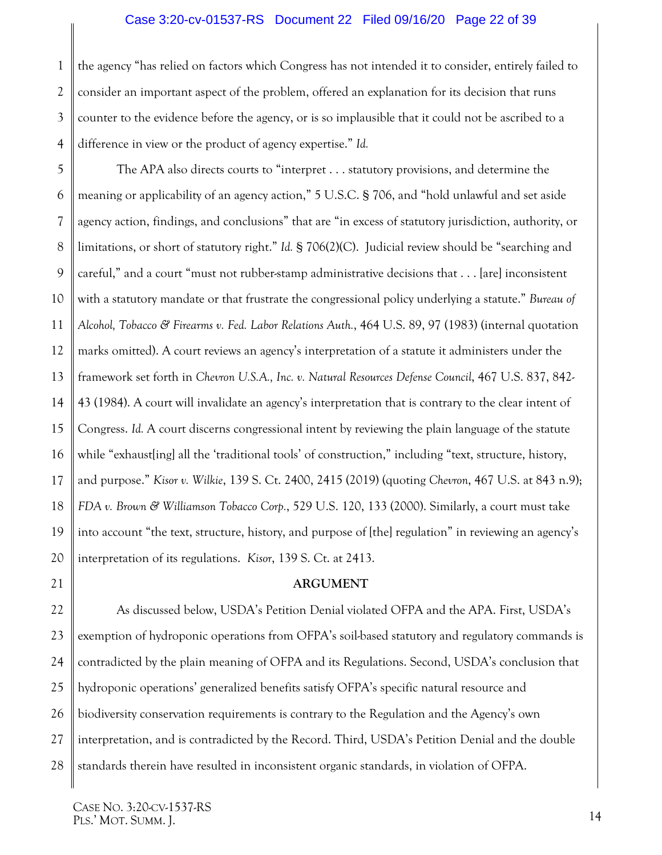#### <span id="page-21-6"></span><span id="page-21-5"></span>Case 3:20-cv-01537-RS Document 22 Filed 09/16/20 Page 22 of 39

1 2 3 4 the agency "has relied on factors which Congress has not intended it to consider, entirely failed to consider an important aspect of the problem, offered an explanation for its decision that runs counter to the evidence before the agency, or is so implausible that it could not be ascribed to a difference in view or the product of agency expertise." *Id.*

5 6 7 8 9 10 11 12 13 14 15 16 17 18 19 20 The APA also directs courts to "interpret . . . statutory provisions, and determine the meaning or applicability of an agency action," 5 U.S.C. § 706, and "hold unlawful and set aside agency action, findings, and conclusions" that are "in excess of statutory jurisdiction, authority, or limitations, or short of statutory right." *Id.* § 706(2)(C). Judicial review should be "searching and careful," and a court "must not rubber-stamp administrative decisions that . . . [are] inconsistent with a statutory mandate or that frustrate the congressional policy underlying a statute." *Bureau of Alcohol, Tobacco & Firearms v. Fed. Labor Relations Auth.*, 464 U.S. 89, 97 (1983) (internal quotation marks omitted). A court reviews an agency's interpretation of a statute it administers under the framework set forth in *Chevron U.S.A., Inc. v. Natural Resources Defense Council*, 467 U.S. 837, 842- 43 (1984). A court will invalidate an agency's interpretation that is contrary to the clear intent of Congress. *Id.* A court discerns congressional intent by reviewing the plain language of the statute while "exhaust [ing] all the 'traditional tools' of construction," including "text, structure, history, and purpose." *Kisor v. Wilkie*, 139 S. Ct. 2400, 2415 (2019) (quoting *Chevron*, 467 U.S. at 843 n.9); *FDA v. Brown & Williamson Tobacco Corp.*, 529 U.S. 120, 133 (2000). Similarly, a court must take into account "the text, structure, history, and purpose of [the] regulation" in reviewing an agency's interpretation of its regulations. *Kisor*, 139 S. Ct. at 2413.

#### <span id="page-21-4"></span><span id="page-21-3"></span><span id="page-21-0"></span>21

#### <span id="page-21-2"></span><span id="page-21-1"></span>**ARGUMENT**

22 23 24 25 26 27 28 As discussed below, USDA's Petition Denial violated OFPA and the APA. First, USDA's exemption of hydroponic operations from OFPA's soil-based statutory and regulatory commands is contradicted by the plain meaning of OFPA and its Regulations. Second, USDA's conclusion that hydroponic operations' generalized benefits satisfy OFPA's specific natural resource and biodiversity conservation requirements is contrary to the Regulation and the Agency's own interpretation, and is contradicted by the Record. Third, USDA's Petition Denial and the double standards therein have resulted in inconsistent organic standards, in violation of OFPA.

CASE NO. 3:20-CV-1537-RS PLS.' MOT. SUMM. J.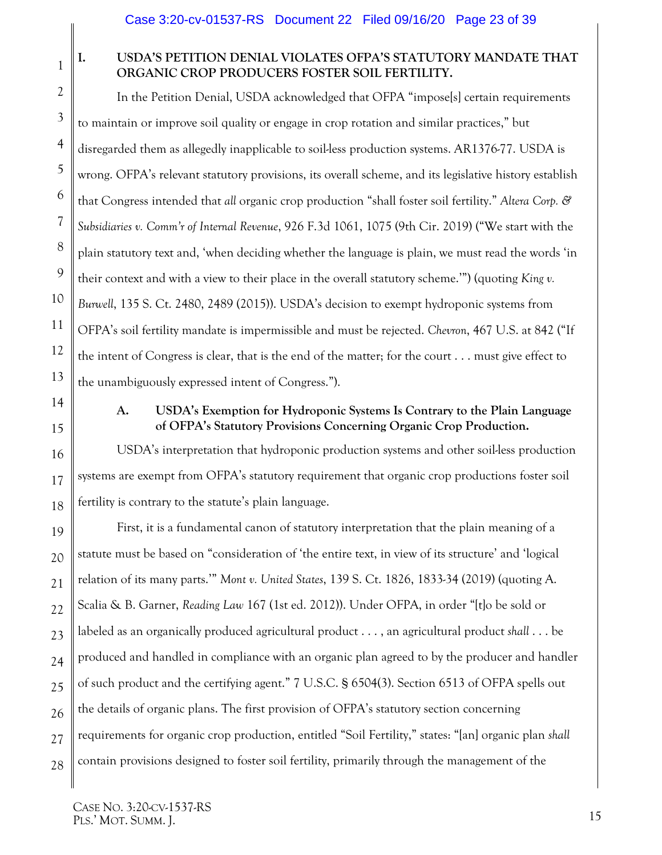# 1

2

3

4

5

6

7

8

9

10

11

12

13

14

15

16

17

18

## <span id="page-22-0"></span>**I. USDA'S PETITION DENIAL VIOLATES OFPA'S STATUTORY MANDATE THAT ORGANIC CROP PRODUCERS FOSTER SOIL FERTILITY.**

<span id="page-22-2"></span>In the Petition Denial, USDA acknowledged that OFPA "impose[s] certain requirements to maintain or improve soil quality or engage in crop rotation and similar practices," but disregarded them as allegedly inapplicable to soil-less production systems. AR1376-77. USDA is wrong. OFPA's relevant statutory provisions, its overall scheme, and its legislative history establish that Congress intended that *all* organic crop production "shall foster soil fertility." *Altera Corp. & Subsidiaries v. Comm'r of Internal Revenue*, 926 F.3d 1061, 1075 (9th Cir. 2019) ("We start with the plain statutory text and, 'when deciding whether the language is plain, we must read the words 'in their context and with a view to their place in the overall statutory scheme.'") (quoting *King v. Burwell*, 135 S. Ct. 2480, 2489 (2015)). USDA's decision to exempt hydroponic systems from OFPA's soil fertility mandate is impermissible and must be rejected. *Chevron*, 467 U.S. at 842 ("If the intent of Congress is clear, that is the end of the matter; for the court . . . must give effect to the unambiguously expressed intent of Congress.").

<span id="page-22-1"></span>

### <span id="page-22-3"></span>**A. USDA's Exemption for Hydroponic Systems Is Contrary to the Plain Language of OFPA's Statutory Provisions Concerning Organic Crop Production.**

USDA's interpretation that hydroponic production systems and other soil-less production systems are exempt from OFPA's statutory requirement that organic crop productions foster soil fertility is contrary to the statute's plain language.

<span id="page-22-5"></span><span id="page-22-4"></span>19 20 21 22 23 24 25 26 27 28 First, it is a fundamental canon of statutory interpretation that the plain meaning of a statute must be based on "consideration of 'the entire text, in view of its structure' and 'logical relation of its many parts.'" *Mont v. United States*, 139 S. Ct. 1826, 1833-34 (2019) (quoting A. Scalia & B. Garner, *Reading Law* 167 (1st ed. 2012)). Under OFPA, in order "[t]o be sold or labeled as an organically produced agricultural product . . . , an agricultural product *shall* . . . be produced and handled in compliance with an organic plan agreed to by the producer and handler of such product and the certifying agent." 7 U.S.C. § 6504(3). Section 6513 of OFPA spells out the details of organic plans. The first provision of OFPA's statutory section concerning requirements for organic crop production, entitled "Soil Fertility," states: "[an] organic plan *shall* contain provisions designed to foster soil fertility, primarily through the management of the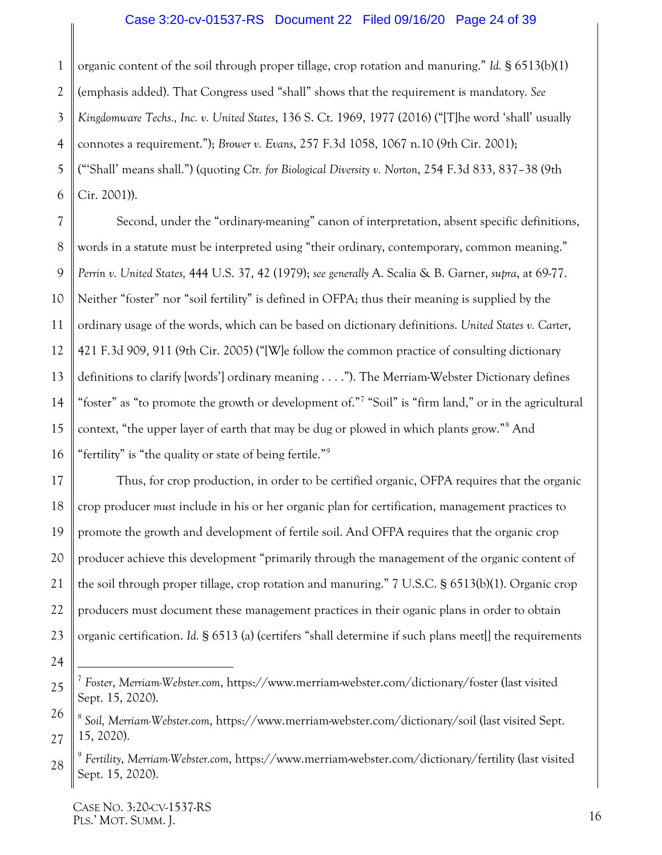#### <span id="page-23-0"></span>Case 3:20-cv-01537-RS Document 22 Filed 09/16/20 Page 24 of 39

<span id="page-23-1"></span>1 2 3 4 5 6 organic content of the soil through proper tillage, crop rotation and manuring." *Id.* § 6513(b)(1) (emphasis added). That Congress used "shall" shows that the requirement is mandatory. *See Kingdomware Techs., Inc. v. United States*, 136 S. Ct. 1969, 1977 (2016) ("[T]he word 'shall' usually connotes a requirement."); *Brower v. Evans*, 257 F.3d 1058, 1067 n.10 (9th Cir. 2001); ("'Shall' means shall.") (quoting *Ctr. for Biological Diversity v. Norton*, 254 F.3d 833, 837–38 (9th Cir. 2001)).

<span id="page-23-3"></span><span id="page-23-2"></span>7 8 9 10 11 12 13 14 15 16 Second, under the "ordinary-meaning" canon of interpretation, absent specific definitions, words in a statute must be interpreted using "their ordinary, contemporary, common meaning." *Perrin v. United States,* 444 U.S. 37, 42 (1979); *see generally* A. Scalia & B. Garner, *supra*, at 69-77. Neither "foster" nor "soil fertility" is defined in OFPA; thus their meaning is supplied by the ordinary usage of the words, which can be based on dictionary definitions. *United States v. Carter*, 421 F.3d 909, 911 (9th Cir. 2005) ("[W]e follow the common practice of consulting dictionary definitions to clarify [words'] ordinary meaning . . . ."). The Merriam-Webster Dictionary defines "foster" as "to promote the growth or development of."<sup>[7](#page-23-7)</sup> "Soil" is "firm land," or in the agricultural context, "the upper layer of earth that may be dug or plowed in which plants grow."[8](#page-23-8) And "fertility" is "the quality or state of being fertile."<sup>[9](#page-23-9)</sup>

17 18 19 20 21 22 23 Thus, for crop production, in order to be certified organic, OFPA requires that the organic crop producer *must* include in his or her organic plan for certification, management practices to promote the growth and development of fertile soil. And OFPA requires that the organic crop producer achieve this development "primarily through the management of the organic content of the soil through proper tillage, crop rotation and manuring." 7 U.S.C. § 6513(b)(1). Organic crop producers must document these management practices in their oganic plans in order to obtain organic certification. *Id.* § 6513 (a) (certifers "shall determine if such plans meet[] the requirements

<span id="page-23-7"></span><span id="page-23-5"></span><sup>25</sup> 7 *Foster*, *Merriam-Webster.com*, https://www.merriam-webster.com/dictionary/foster (last visited Sept. 15, 2020).

<span id="page-23-8"></span><span id="page-23-6"></span><sup>26</sup> 27 <sup>8</sup> *Soil, Merriam-Webster.com*, https://www.merriam-webster.com/dictionary/soil (last visited Sept. 15, 2020).

<span id="page-23-9"></span><span id="page-23-4"></span><sup>28</sup> <sup>9</sup> *Fertility*, *Merriam-Webster.com*, https://www.merriam-webster.com/dictionary/fertility (last visited Sept. 15, 2020).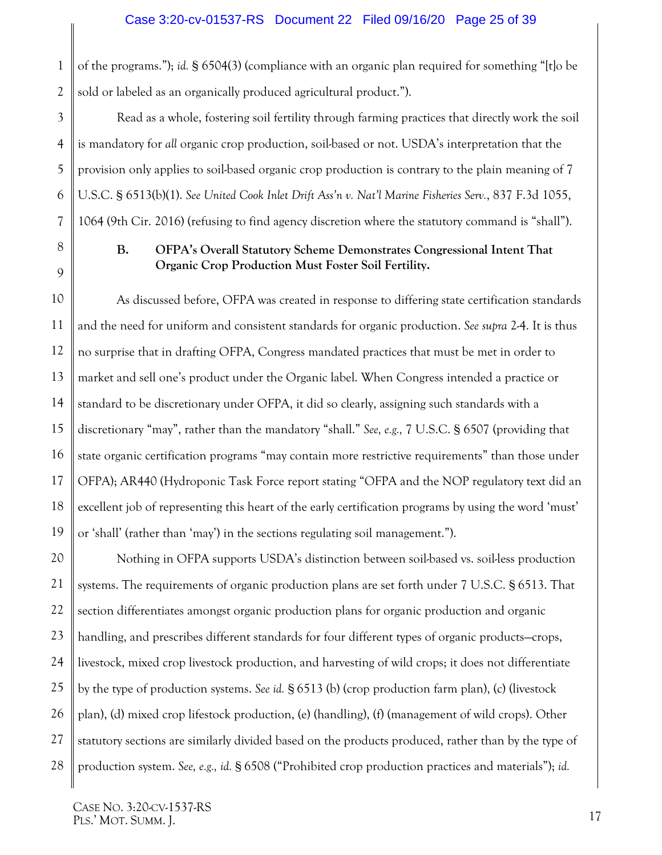1 2 of the programs."); *id.* § 6504(3) (compliance with an organic plan required for something "[t]o be sold or labeled as an organically produced agricultural product.").

Read as a whole, fostering soil fertility through farming practices that directly work the soil is mandatory for *all* organic crop production, soil-based or not. USDA's interpretation that the provision only applies to soil-based organic crop production is contrary to the plain meaning of 7 U.S.C. § 6513(b)(1). *See United Cook Inlet Drift Ass'n v. Nat'l Marine Fisheries Serv.*, 837 F.3d 1055, 1064 (9th Cir. 2016) (refusing to find agency discretion where the statutory command is "shall").

## <span id="page-24-2"></span><span id="page-24-1"></span><span id="page-24-0"></span>**B. OFPA's Overall Statutory Scheme Demonstrates Congressional Intent That Organic Crop Production Must Foster Soil Fertility.**

As discussed before, OFPA was created in response to differing state certification standards and the need for uniform and consistent standards for organic production. *See supra* 2-4. It is thus no surprise that in drafting OFPA, Congress mandated practices that must be met in order to market and sell one's product under the Organic label. When Congress intended a practice or standard to be discretionary under OFPA, it did so clearly, assigning such standards with a discretionary "may", rather than the mandatory "shall." *See, e.g.,* 7 U.S.C. § 6507 (providing that state organic certification programs "may contain more restrictive requirements" than those under OFPA); AR440 (Hydroponic Task Force report stating "OFPA and the NOP regulatory text did an excellent job of representing this heart of the early certification programs by using the word 'must' or 'shall' (rather than 'may') in the sections regulating soil management.").

Nothing in OFPA supports USDA's distinction between soil-based vs. soil-less production systems. The requirements of organic production plans are set forth under 7 U.S.C. § 6513. That section differentiates amongst organic production plans for organic production and organic handling, and prescribes different standards for four different types of organic products—crops, livestock, mixed crop livestock production, and harvesting of wild crops; it does not differentiate by the type of production systems. *See id.* § 6513 (b) (crop production farm plan), (c) (livestock plan), (d) mixed crop lifestock production, (e) (handling), (f) (management of wild crops). Other statutory sections are similarly divided based on the products produced, rather than by the type of production system. *See, e.g., id.* § 6508 ("Prohibited crop production practices and materials"); *id.*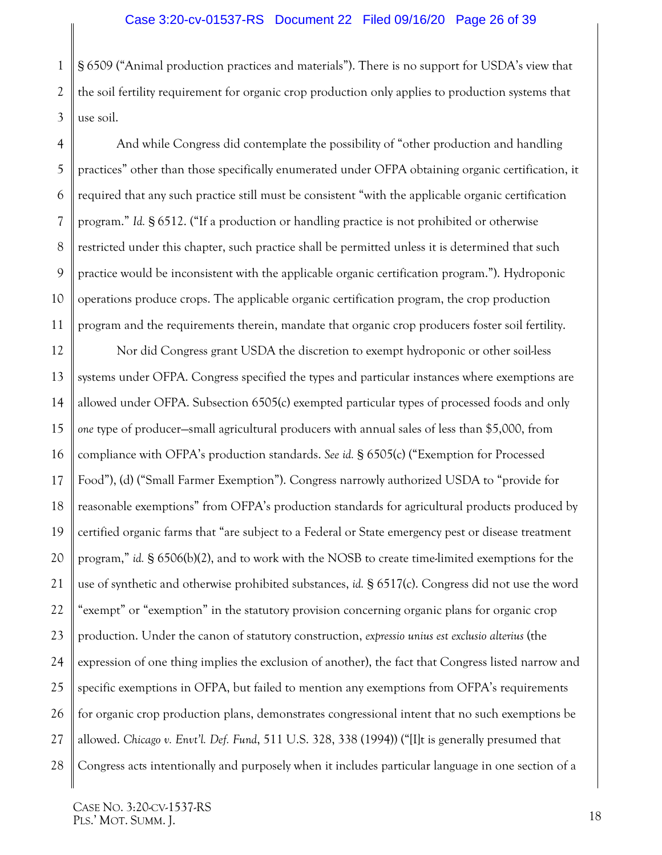1 2 3 § 6509 ("Animal production practices and materials"). There is no support for USDA's view that the soil fertility requirement for organic crop production only applies to production systems that use soil.

4 5 6 9 10 And while Congress did contemplate the possibility of "other production and handling practices" other than those specifically enumerated under OFPA obtaining organic certification, it required that any such practice still must be consistent "with the applicable organic certification program." *Id.* § 6512. ("If a production or handling practice is not prohibited or otherwise restricted under this chapter, such practice shall be permitted unless it is determined that such practice would be inconsistent with the applicable organic certification program."). Hydroponic operations produce crops. The applicable organic certification program, the crop production program and the requirements therein, mandate that organic crop producers foster soil fertility.

<span id="page-25-0"></span>12 13 14 15 16 17 18 19 20 21 22 23 24 25 26 27 28 Nor did Congress grant USDA the discretion to exempt hydroponic or other soil-less systems under OFPA. Congress specified the types and particular instances where exemptions are allowed under OFPA. Subsection 6505(c) exempted particular types of processed foods and only *one* type of producer—small agricultural producers with annual sales of less than \$5,000, from compliance with OFPA's production standards. *See id.* § 6505(c) ("Exemption for Processed Food"), (d) ("Small Farmer Exemption"). Congress narrowly authorized USDA to "provide for reasonable exemptions" from OFPA's production standards for agricultural products produced by certified organic farms that "are subject to a Federal or State emergency pest or disease treatment program," *id.* § 6506(b)(2), and to work with the NOSB to create time-limited exemptions for the use of synthetic and otherwise prohibited substances, *id.* § 6517(c). Congress did not use the word "exempt" or "exemption" in the statutory provision concerning organic plans for organic crop production. Under the canon of statutory construction, *expressio unius est exclusio alterius* (the expression of one thing implies the exclusion of another), the fact that Congress listed narrow and specific exemptions in OFPA, but failed to mention any exemptions from OFPA's requirements for organic crop production plans, demonstrates congressional intent that no such exemptions be allowed. *Chicago v. Envt'l. Def. Fund*, 511 U.S. 328, 338 (1994)) ("[I]t is generally presumed that Congress acts intentionally and purposely when it includes particular language in one section of a

7

8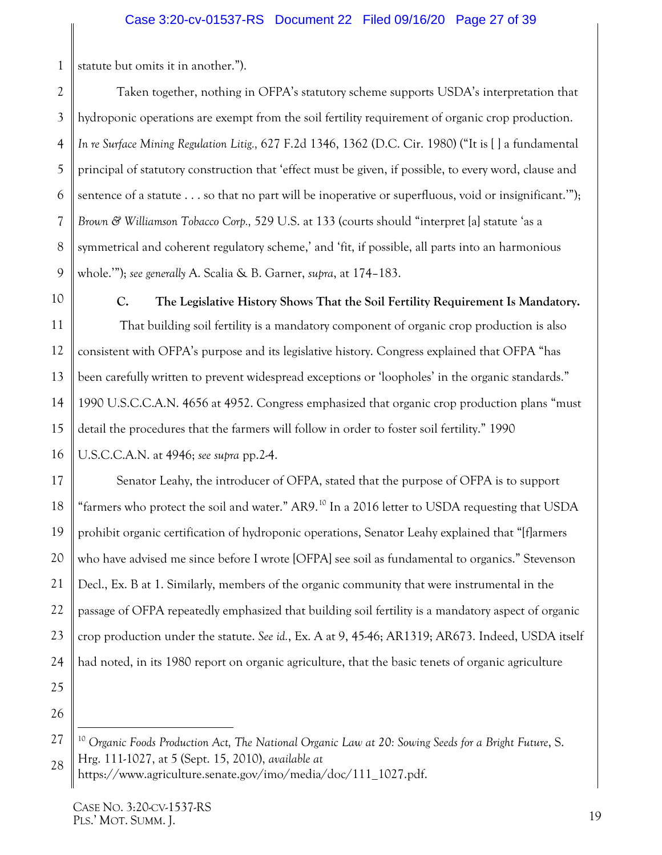1 statute but omits it in another.").

Taken together, nothing in OFPA's statutory scheme supports USDA's interpretation that hydroponic operations are exempt from the soil fertility requirement of organic crop production. *In re Surface Mining Regulation Litig.,* [627 F.2d 1346, 1362 \(D.C. Cir. 1980\)](https://1.next.westlaw.com/Link/Document/FullText?findType=Y&serNum=1980121187&pubNum=0000350&originatingDoc=I81823ccc3dc311e3b48bea39e86d4142&refType=RP&fi=co_pp_sp_350_1362&originationContext=document&transitionType=DocumentItem&contextData=(sc.History*oc.RelatedInfo)#co_pp_sp_350_1362) ("It is [ ] a fundamental principal of statutory construction that 'effect must be given, if possible, to every word, clause and sentence of a statute . . . so that no part will be inoperative or superfluous, void or insignificant."); *Brown & Williamson Tobacco Corp.,* 529 U.S. at 133 (courts should "interpret [a] statute 'as a symmetrical and coherent regulatory scheme,' and 'fit, if possible, all parts into an harmonious whole.'"); *see generally* A. Scalia & B. Garner, *supra*, at 174–183.

10

2

3

<span id="page-26-2"></span>4

5

6

<span id="page-26-1"></span>7

8

<span id="page-26-0"></span>9

11

12

13

14

15

16

18

21

22

**C. The Legislative History Shows That the Soil Fertility Requirement Is Mandatory.**

That building soil fertility is a mandatory component of organic crop production is also consistent with OFPA's purpose and its legislative history. Congress explained that OFPA "has been carefully written to prevent widespread exceptions or 'loopholes' in the organic standards." 1990 U.S.C.C.A.N. 4656 at 4952. Congress emphasized that organic crop production plans "must detail the procedures that the farmers will follow in order to foster soil fertility." 1990 U.S.C.C.A.N. at 4946; *see supra* pp.2-4.

17 19 20 23 24 Senator Leahy, the introducer of OFPA, stated that the purpose of OFPA is to support "farmers who protect the soil and water." AR9.<sup>[10](#page-26-4)</sup> In a 2016 letter to USDA requesting that USDA prohibit organic certification of hydroponic operations, Senator Leahy explained that "[f]armers who have advised me since before I wrote [OFPA] see soil as fundamental to organics." Stevenson Decl., Ex. B at 1. Similarly, members of the organic community that were instrumental in the passage of OFPA repeatedly emphasized that building soil fertility is a mandatory aspect of organic crop production under the statute. *See id.*, Ex. A at 9, 45-46; AR1319; AR673. Indeed, USDA itself had noted, in its 1980 report on organic agriculture, that the basic tenets of organic agriculture

25 26

<span id="page-26-3"></span>https://www.agriculture.senate.gov/imo/media/doc/111\_1027.pdf.

<span id="page-26-4"></span><sup>27</sup> 28 <sup>10</sup> Organic Foods Production Act, The National Organic Law at 20: Sowing Seeds for a Bright Future, S. Hrg. 111-1027, at 5 (Sept. 15, 2010), *available at*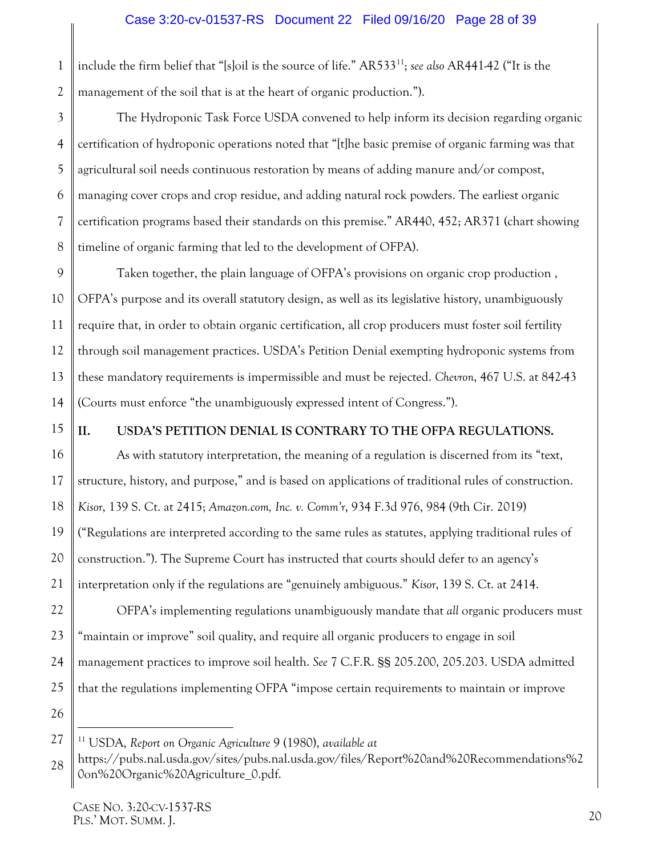1 2 include the firm belief that "[s]oil is the source of life." AR533[11](#page-27-6) ; *see also* AR441-42 ("It is the management of the soil that is at the heart of organic production.").

3 4 5 6 7 8 The Hydroponic Task Force USDA convened to help inform its decision regarding organic certification of hydroponic operations noted that "[t]he basic premise of organic farming was that agricultural soil needs continuous restoration by means of adding manure and/or compost, managing cover crops and crop residue, and adding natural rock powders. The earliest organic certification programs based their standards on this premise." AR440, 452; AR371 (chart showing timeline of organic farming that led to the development of OFPA).

9 10 11 12 13 14 Taken together, the plain language of OFPA's provisions on organic crop production , OFPA's purpose and its overall statutory design, as well as its legislative history, unambiguously require that, in order to obtain organic certification, all crop producers must foster soil fertility through soil management practices. USDA's Petition Denial exempting hydroponic systems from these mandatory requirements is impermissible and must be rejected. *Chevron*, 467 U.S. at 842-43 (Courts must enforce "the unambiguously expressed intent of Congress.").

15

## <span id="page-27-2"></span><span id="page-27-1"></span><span id="page-27-0"></span>**II. USDA'S PETITION DENIAL IS CONTRARY TO THE OFPA REGULATIONS.**

<span id="page-27-3"></span>16 17 18 19 20 21 22 23 As with statutory interpretation, the meaning of a regulation is discerned from its "text, structure, history, and purpose," and is based on applications of traditional rules of construction. *Kisor*, 139 S. Ct. at 2415; *Amazon.com, Inc. v. Comm'r*, 934 F.3d 976, 984 (9th Cir. 2019) ("Regulations are interpreted according to the same rules as statutes, applying traditional rules of construction."). The Supreme Court has instructed that courts should defer to an agency's interpretation only if the regulations are "genuinely ambiguous." *Kisor*, 139 S. Ct. at 2414. OFPA's implementing regulations unambiguously mandate that *all* organic producers must "maintain or improve" soil quality, and require all organic producers to engage in soil

<span id="page-27-4"></span>24 management practices to improve soil health. *See* 7 C.F.R. §§ 205.200, 205.203. USDA admitted

25 that the regulations implementing OFPA "impose certain requirements to maintain or improve

26

<span id="page-27-6"></span><span id="page-27-5"></span>27 11 USDA, *Report on Organic Agriculture* 9 (1980), *available at*

<sup>28</sup> https://pubs.nal.usda.gov/sites/pubs.nal.usda.gov/files/Report%20and%20Recommendations%2 0on%20Organic%20Agriculture\_0.pdf.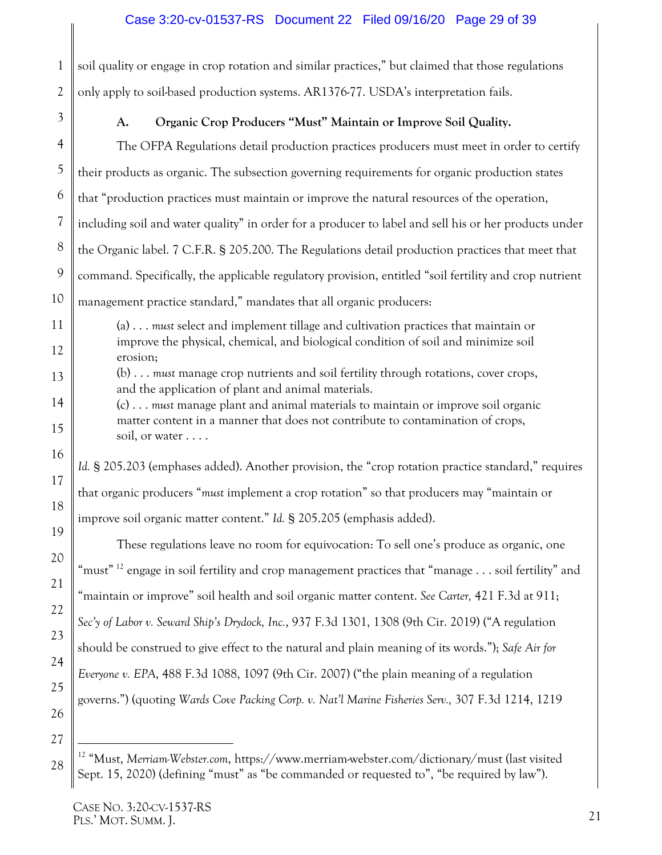#### Case 3:20-cv-01537-RS Document 22 Filed 09/16/20 Page 29 of 39

1 2 soil quality or engage in crop rotation and similar practices," but claimed that those regulations only apply to soil-based production systems. AR1376-77. USDA's interpretation fails.

<span id="page-28-0"></span>3

## **A. Organic Crop Producers "Must" Maintain or Improve Soil Quality.**

4 5 6 7 8 The OFPA Regulations detail production practices producers must meet in order to certify their products as organic. The subsection governing requirements for organic production states that "production practices must maintain or improve the natural resources of the operation, including soil and water quality" in order for a producer to label and sell his or her products under the Organic label. 7 C.F.R. § 205.200. The Regulations detail production practices that meet that command. Specifically, the applicable regulatory provision, entitled "soil fertility and crop nutrient management practice standard," mandates that all organic producers:

(a) . . . *must* select and implement tillage and cultivation practices that maintain or improve the physical, chemical, and biological condition of soil and minimize soil erosion;

(b) . . . *must* manage crop nutrients and soil fertility through rotations, cover crops, and the application of plant and animal materials.

(c) . . . *must* manage plant and animal materials to maintain or improve soil organic matter content in a manner that does not contribute to contamination of crops, soil, or water . . . .

*Id.* § 205.203 (emphases added). Another provision, the "crop rotation practice standard," requires that organic producers "*must* implement a crop rotation" so that producers may "maintain or improve soil organic matter content." *Id.* § 205.205 (emphasis added).

<span id="page-28-3"></span><span id="page-28-2"></span><span id="page-28-1"></span>These regulations leave no room for equivocation: To sell one's produce as organic, one "must" <sup>[12](#page-28-4)</sup> engage in soil fertility and crop management practices that "manage  $\ldots$  soil fertility" and "maintain or improve" soil health and soil organic matter content. *See Carter,* 421 F.3d at 911; *Sec'y of Labor v. Seward Ship's Drydock, Inc.*, 937 F.3d 1301, 1308 (9th Cir. 2019) ("A regulation should be construed to give effect to the natural and plain meaning of its words."); *Safe Air for Everyone v. EPA*, 488 F.3d 1088, 1097 (9th Cir. 2007) ("the plain meaning of a regulation governs.") (quoting *Wards Cove Packing Corp. v. Nat'l Marine Fisheries Serv.,* 307 F.3d 1214, 1219

<span id="page-28-4"></span> <sup>12</sup> "Must, *Merriam-Webster.com*, https://www.merriam-webster.com/dictionary/must (last visited Sept. 15, 2020) (defining "must" as "be commanded or requested to", "be required by law").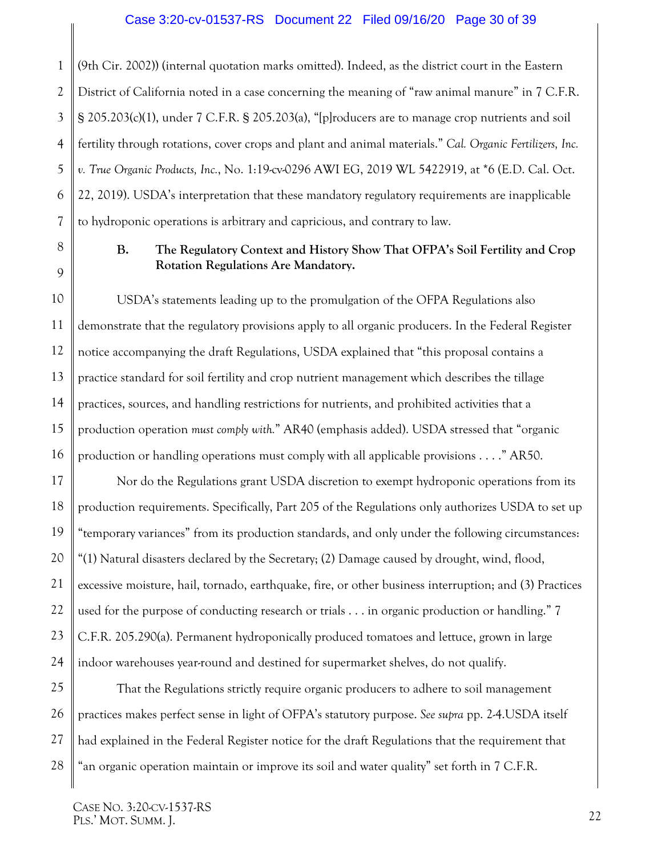<span id="page-29-3"></span>1 2 3 4 5 6 7 (9th Cir. 2002)) (internal quotation marks omitted). Indeed, as the district court in the Eastern District of California noted in a case concerning the meaning of "raw animal manure" in 7 C.F.R. § 205.203(c)(1), under 7 C.F.R. § 205.203(a), "[p]roducers are to manage crop nutrients and soil fertility through rotations, cover crops and plant and animal materials." *Cal. Organic Fertilizers, Inc. v. True Organic Products, Inc.*, No. 1:19-cv-0296 AWI EG, 2019 WL 5422919, at \*6 (E.D. Cal. Oct. 22, 2019). USDA's interpretation that these mandatory regulatory requirements are inapplicable to hydroponic operations is arbitrary and capricious, and contrary to law.

## <span id="page-29-4"></span><span id="page-29-1"></span>**B. The Regulatory Context and History Show That OFPA's Soil Fertility and Crop Rotation Regulations Are Mandatory.**

USDA's statements leading up to the promulgation of the OFPA Regulations also demonstrate that the regulatory provisions apply to all organic producers. In the Federal Register notice accompanying the draft Regulations, USDA explained that "this proposal contains a practice standard for soil fertility and crop nutrient management which describes the tillage practices, sources, and handling restrictions for nutrients, and prohibited activities that a production operation *must comply with.*" AR40 (emphasis added). USDA stressed that "organic production or handling operations must comply with all applicable provisions . . . ." AR50.

<span id="page-29-2"></span>17 18 19 20 21 22 23 24 Nor do the Regulations grant USDA discretion to exempt hydroponic operations from its production requirements. Specifically, Part 205 of the Regulations only authorizes USDA to set up "temporary variances" from its production standards, and only under the following circumstances: "(1) Natural disasters declared by the Secretary; (2) Damage caused by drought, wind, flood, excessive moisture, hail, tornado, earthquake, fire, or other business interruption; and (3) Practices used for the purpose of conducting research or trials . . . in organic production or handling." 7 C.F.R. 205.290(a). Permanent hydroponically produced tomatoes and lettuce, grown in large indoor warehouses year-round and destined for supermarket shelves, do not qualify.

<span id="page-29-5"></span>25 26 27 28 That the Regulations strictly require organic producers to adhere to soil management practices makes perfect sense in light of OFPA's statutory purpose. *See supra* pp. 2-4.USDA itself had explained in the Federal Register notice for the draft Regulations that the requirement that "an organic operation maintain or improve its soil and water quality" set forth in 7 C.F.R.

<span id="page-29-0"></span>8

9

10

11

12

13

14

15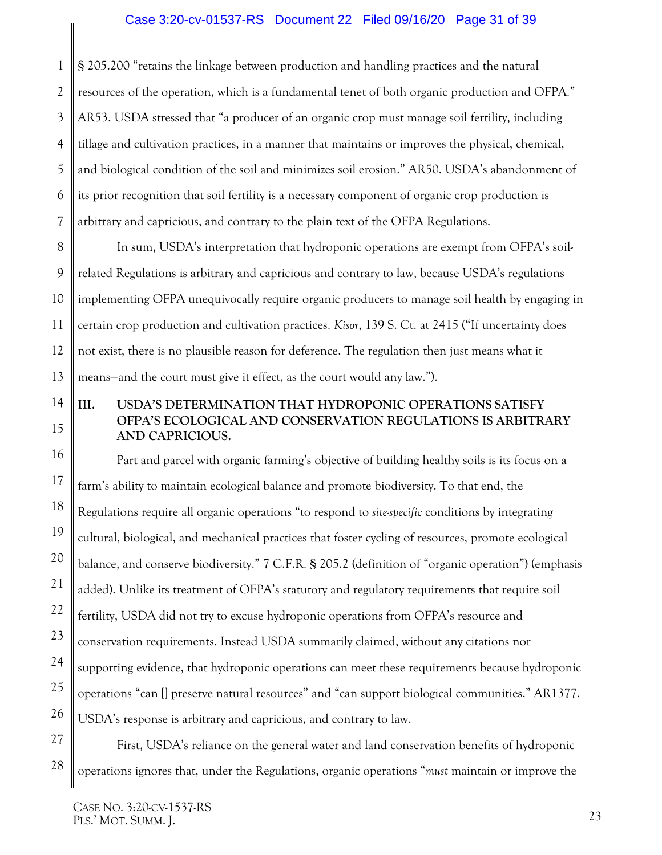#### Case 3:20-cv-01537-RS Document 22 Filed 09/16/20 Page 31 of 39

1 2 3 4 5 6 7 § 205.200 "retains the linkage between production and handling practices and the natural resources of the operation, which is a fundamental tenet of both organic production and OFPA." AR53. USDA stressed that "a producer of an organic crop must manage soil fertility, including tillage and cultivation practices, in a manner that maintains or improves the physical, chemical, and biological condition of the soil and minimizes soil erosion." AR50. USDA's abandonment of its prior recognition that soil fertility is a necessary component of organic crop production is arbitrary and capricious, and contrary to the plain text of the OFPA Regulations.

<span id="page-30-1"></span>8 9 10 11 12 13 In sum, USDA's interpretation that hydroponic operations are exempt from OFPA's soilrelated Regulations is arbitrary and capricious and contrary to law, because USDA's regulations implementing OFPA unequivocally require organic producers to manage soil health by engaging in certain crop production and cultivation practices. *Kisor*, 139 S. Ct. at 2415 ("If uncertainty does not exist, there is no plausible reason for deference. The regulation then just means what it means—and the court must give it effect, as the court would any law.").

#### <span id="page-30-0"></span>14 15 **III. USDA'S DETERMINATION THAT HYDROPONIC OPERATIONS SATISFY OFPA'S ECOLOGICAL AND CONSERVATION REGULATIONS IS ARBITRARY AND CAPRICIOUS.**

Part and parcel with organic farming's objective of building healthy soils is its focus on a farm's ability to maintain ecological balance and promote biodiversity. To that end, the Regulations require all organic operations "to respond to *site-specific* conditions by integrating cultural, biological, and mechanical practices that foster cycling of resources, promote ecological balance, and conserve biodiversity." 7 C.F.R. § 205.2 (definition of "organic operation") (emphasis added). Unlike its treatment of OFPA's statutory and regulatory requirements that require soil fertility, USDA did not try to excuse hydroponic operations from OFPA's resource and conservation requirements. Instead USDA summarily claimed, without any citations nor supporting evidence, that hydroponic operations can meet these requirements because hydroponic operations "can [] preserve natural resources" and "can support biological communities." AR1377. USDA's response is arbitrary and capricious, and contrary to law.

First, USDA's reliance on the general water and land conservation benefits of hydroponic operations ignores that, under the Regulations, organic operations "*must* maintain or improve the

16

17

18

19

<span id="page-30-2"></span>20

21

22

23

24

25

26

27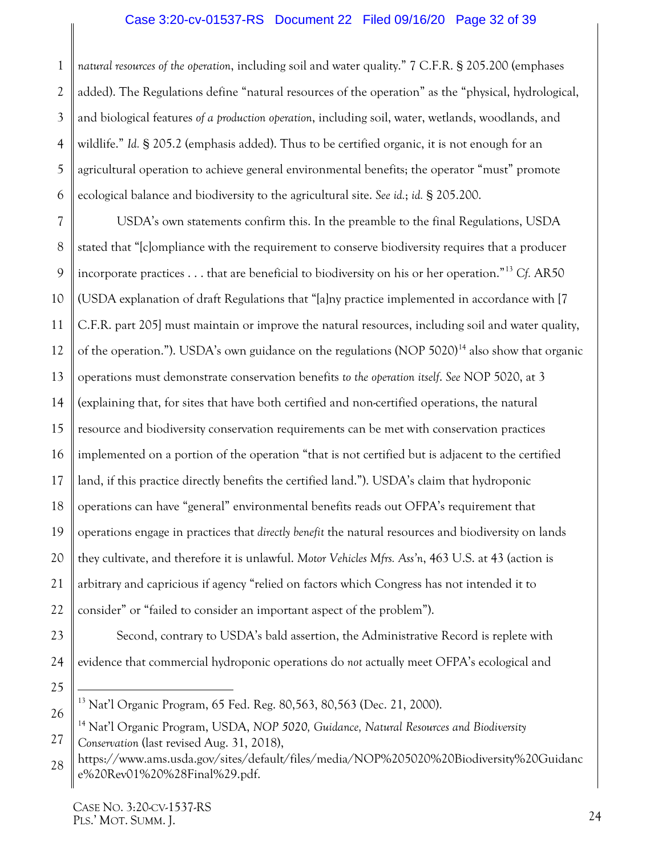#### <span id="page-31-1"></span>Case 3:20-cv-01537-RS Document 22 Filed 09/16/20 Page 32 of 39

<span id="page-31-2"></span>1 2 3 4 5 6 *natural resources of the operation*, including soil and water quality." 7 C.F.R. § 205.200 (emphases added). The Regulations define "natural resources of the operation" as the "physical, hydrological, and biological features *of a production operation*, including soil, water, wetlands, woodlands, and wildlife." *Id.* § 205.2 (emphasis added). Thus to be certified organic, it is not enough for an agricultural operation to achieve general environmental benefits; the operator "must" promote ecological balance and biodiversity to the agricultural site. *See id.*; *id.* § 205.200.

7 8 9 10 11 12 13 14 15 16 USDA's own statements confirm this. In the preamble to the final Regulations, USDA stated that "[c]ompliance with the requirement to conserve biodiversity requires that a producer incorporate practices . . . that are beneficial to biodiversity on his or her operation."[13](#page-31-5) *Cf.* AR50 (USDA explanation of draft Regulations that "[a]ny practice implemented in accordance with [7 C.F.R. part 205] must maintain or improve the natural resources, including soil and water quality, of the operation."). USDA's own guidance on the regulations (NOP 5020)<sup>[14](#page-31-6)</sup> also show that organic operations must demonstrate conservation benefits *to the operation itself*. *See* NOP 5020, at 3 (explaining that, for sites that have both certified and non-certified operations, the natural resource and biodiversity conservation requirements can be met with conservation practices implemented on a portion of the operation "that is not certified but is adjacent to the certified land, if this practice directly benefits the certified land."). USDA's claim that hydroponic operations can have "general" environmental benefits reads out OFPA's requirement that operations engage in practices that *directly benefit* the natural resources and biodiversity on lands they cultivate, and therefore it is unlawful. *Motor Vehicles Mfrs. Ass'n*, 463 U.S. at 43 (action is arbitrary and capricious if agency "relied on factors which Congress has not intended it to consider" or "failed to consider an important aspect of the problem").

<span id="page-31-0"></span>Second, contrary to USDA's bald assertion, the Administrative Record is replete with evidence that commercial hydroponic operations do *not* actually meet OFPA's ecological and

<span id="page-31-4"></span><span id="page-31-3"></span> <sup>13</sup> Nat'l Organic Program, 65 Fed. Reg. 80,563, 80,563 (Dec. 21, 2000).

<span id="page-31-6"></span><span id="page-31-5"></span><sup>27</sup> <sup>14</sup> Nat'l Organic Program, USDA, *NOP 5020, Guidance, Natural Resources and Biodiversity Conservation* (last revised Aug. 31, 2018),

<sup>28</sup> https://www.ams.usda.gov/sites/default/files/media/NOP%205020%20Biodiversity%20Guidanc e%20Rev01%20%28Final%29.pdf.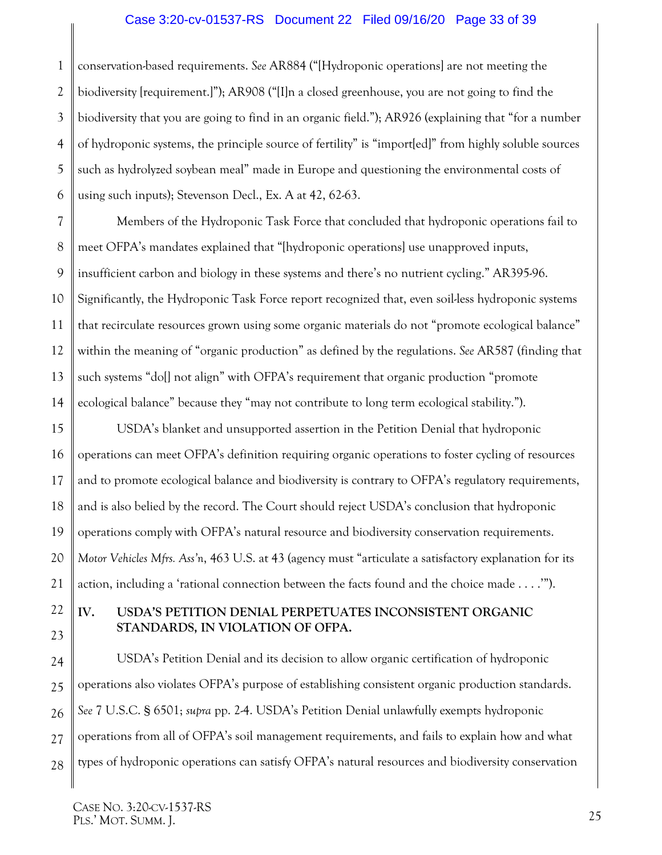#### Case 3:20-cv-01537-RS Document 22 Filed 09/16/20 Page 33 of 39

1 2 3 4 5 6 conservation-based requirements. *See* AR884 ("[Hydroponic operations] are not meeting the biodiversity [requirement.]"); AR908 ("[I]n a closed greenhouse, you are not going to find the biodiversity that you are going to find in an organic field."); AR926 (explaining that "for a number of hydroponic systems, the principle source of fertility" is "import[ed]" from highly soluble sources such as hydrolyzed soybean meal" made in Europe and questioning the environmental costs of using such inputs); Stevenson Decl., Ex. A at 42, 62-63.

7 8 9 10 11 12 13 14 Members of the Hydroponic Task Force that concluded that hydroponic operations fail to meet OFPA's mandates explained that "[hydroponic operations] use unapproved inputs, insufficient carbon and biology in these systems and there's no nutrient cycling." AR395-96. Significantly, the Hydroponic Task Force report recognized that, even soil-less hydroponic systems that recirculate resources grown using some organic materials do not "promote ecological balance" within the meaning of "organic production" as defined by the regulations. *See* AR587 (finding that such systems "do[] not align" with OFPA's requirement that organic production "promote ecological balance" because they "may not contribute to long term ecological stability.").

15 16 17 18 19 20 21 USDA's blanket and unsupported assertion in the Petition Denial that hydroponic operations can meet OFPA's definition requiring organic operations to foster cycling of resources and to promote ecological balance and biodiversity is contrary to OFPA's regulatory requirements, and is also belied by the record. The Court should reject USDA's conclusion that hydroponic operations comply with OFPA's natural resource and biodiversity conservation requirements. *Motor Vehicles Mfrs. Ass'n*, 463 U.S. at 43 (agency must "articulate a satisfactory explanation for its action, including a 'rational connection between the facts found and the choice made . . . .'").

#### <span id="page-32-1"></span><span id="page-32-0"></span>**IV. USDA'S PETITION DENIAL PERPETUATES INCONSISTENT ORGANIC STANDARDS, IN VIOLATION OF OFPA.**

<span id="page-32-2"></span>24 25 26 27 28 USDA's Petition Denial and its decision to allow organic certification of hydroponic operations also violates OFPA's purpose of establishing consistent organic production standards. *See* 7 U.S.C. § 6501; *supra* pp. 2-4. USDA's Petition Denial unlawfully exempts hydroponic operations from all of OFPA's soil management requirements, and fails to explain how and what types of hydroponic operations can satisfy OFPA's natural resources and biodiversity conservation

22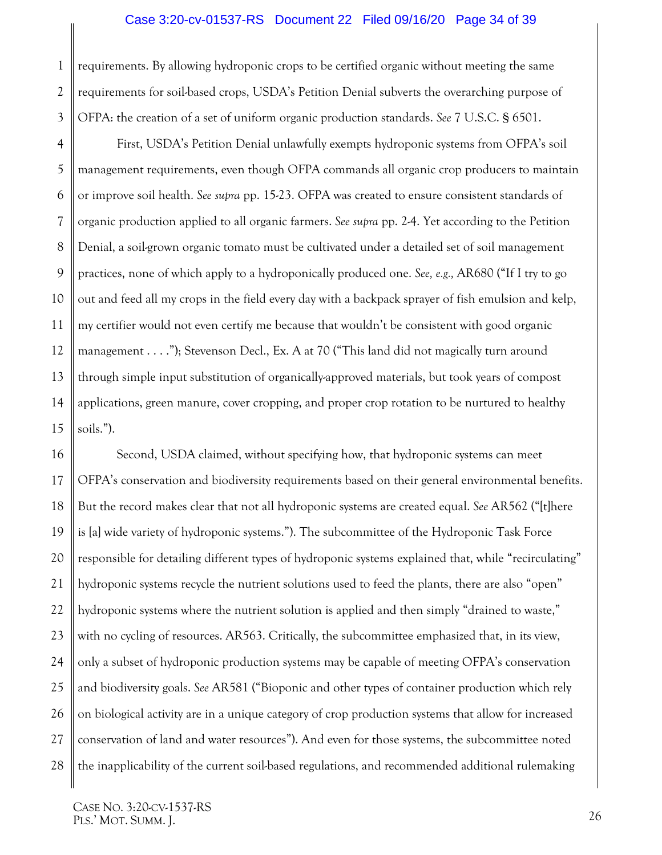#### <span id="page-33-0"></span>Case 3:20-cv-01537-RS Document 22 Filed 09/16/20 Page 34 of 39

1 2 3 requirements. By allowing hydroponic crops to be certified organic without meeting the same requirements for soil-based crops, USDA's Petition Denial subverts the overarching purpose of OFPA: the creation of a set of uniform organic production standards. *See* 7 U.S.C. § 6501.

4 5 6 7 8 9 10 11 12 13 14 15 First, USDA's Petition Denial unlawfully exempts hydroponic systems from OFPA's soil management requirements, even though OFPA commands all organic crop producers to maintain or improve soil health. *See supra* pp. 15-23. OFPA was created to ensure consistent standards of organic production applied to all organic farmers. *See supra* pp. 2-4. Yet according to the Petition Denial, a soil-grown organic tomato must be cultivated under a detailed set of soil management practices, none of which apply to a hydroponically produced one. *See, e.g.,* AR680 ("If I try to go out and feed all my crops in the field every day with a backpack sprayer of fish emulsion and kelp, my certifier would not even certify me because that wouldn't be consistent with good organic management . . . ."); Stevenson Decl., Ex. A at 70 ("This land did not magically turn around through simple input substitution of organically-approved materials, but took years of compost applications, green manure, cover cropping, and proper crop rotation to be nurtured to healthy soils.").

16 17 18 19 20 21 22 23 24 25 26 27 28 Second, USDA claimed, without specifying how, that hydroponic systems can meet OFPA's conservation and biodiversity requirements based on their general environmental benefits. But the record makes clear that not all hydroponic systems are created equal. *See* AR562 ("[t]here is [a] wide variety of hydroponic systems."). The subcommittee of the Hydroponic Task Force responsible for detailing different types of hydroponic systems explained that, while "recirculating" hydroponic systems recycle the nutrient solutions used to feed the plants, there are also "open" hydroponic systems where the nutrient solution is applied and then simply "drained to waste," with no cycling of resources. AR563. Critically, the subcommittee emphasized that, in its view, only a subset of hydroponic production systems may be capable of meeting OFPA's conservation and biodiversity goals. *See* AR581 ("Bioponic and other types of container production which rely on biological activity are in a unique category of crop production systems that allow for increased conservation of land and water resources"). And even for those systems, the subcommittee noted the inapplicability of the current soil-based regulations, and recommended additional rulemaking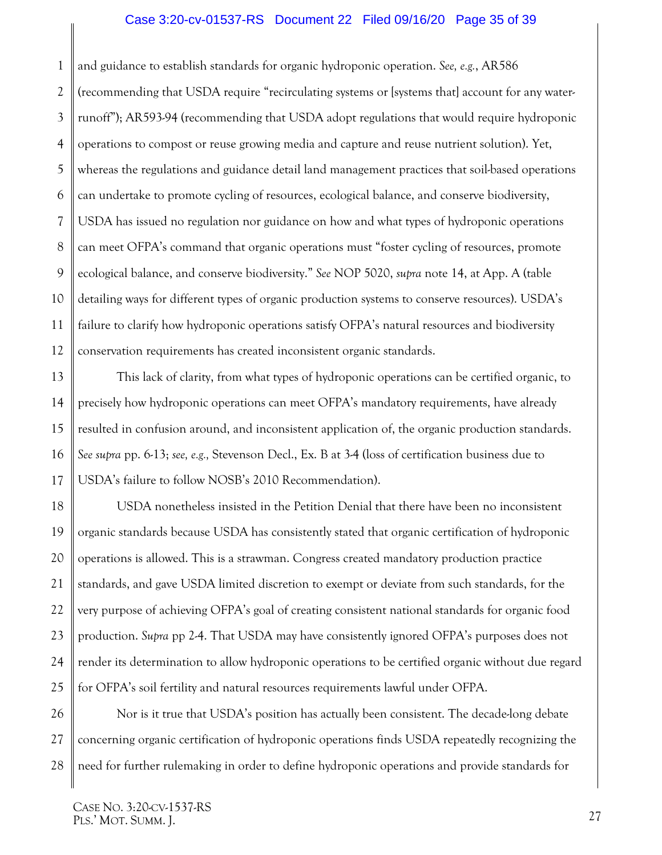#### Case 3:20-cv-01537-RS Document 22 Filed 09/16/20 Page 35 of 39

1 2 3 4 5 6 7 8 9 10 11 12 and guidance to establish standards for organic hydroponic operation. *See, e.g.*, AR586 (recommending that USDA require "recirculating systems or [systems that] account for any waterrunoff"); AR593-94 (recommending that USDA adopt regulations that would require hydroponic operations to compost or reuse growing media and capture and reuse nutrient solution). Yet, whereas the regulations and guidance detail land management practices that soil-based operations can undertake to promote cycling of resources, ecological balance, and conserve biodiversity, USDA has issued no regulation nor guidance on how and what types of hydroponic operations can meet OFPA's command that organic operations must "foster cycling of resources, promote ecological balance, and conserve biodiversity." *See* NOP 5020, *supra* note 14, at App. A (table detailing ways for different types of organic production systems to conserve resources). USDA's failure to clarify how hydroponic operations satisfy OFPA's natural resources and biodiversity conservation requirements has created inconsistent organic standards.

13 14 15 16 17 This lack of clarity, from what types of hydroponic operations can be certified organic, to precisely how hydroponic operations can meet OFPA's mandatory requirements, have already resulted in confusion around, and inconsistent application of, the organic production standards. *See supra* pp. 6-13; *see, e.g.,* Stevenson Decl., Ex. B at 3-4 (loss of certification business due to USDA's failure to follow NOSB's 2010 Recommendation).

18 19 20 21 22 23 24 25 USDA nonetheless insisted in the Petition Denial that there have been no inconsistent organic standards because USDA has consistently stated that organic certification of hydroponic operations is allowed. This is a strawman. Congress created mandatory production practice standards, and gave USDA limited discretion to exempt or deviate from such standards, for the very purpose of achieving OFPA's goal of creating consistent national standards for organic food production. *Supra* pp 2-4. That USDA may have consistently ignored OFPA's purposes does not render its determination to allow hydroponic operations to be certified organic without due regard for OFPA's soil fertility and natural resources requirements lawful under OFPA.

26 27 28 Nor is it true that USDA's position has actually been consistent. The decade-long debate concerning organic certification of hydroponic operations finds USDA repeatedly recognizing the need for further rulemaking in order to define hydroponic operations and provide standards for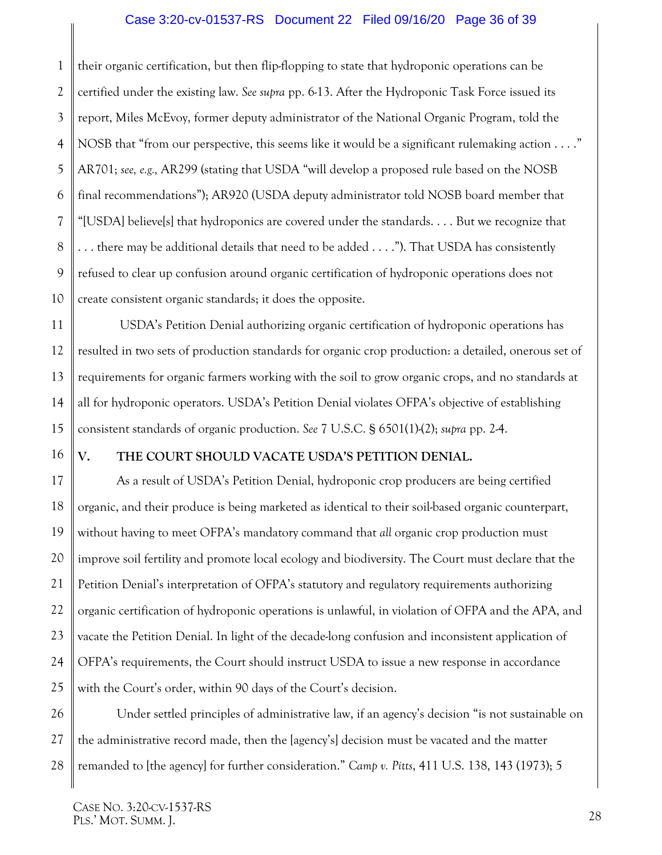#### Case 3:20-cv-01537-RS Document 22 Filed 09/16/20 Page 36 of 39

1 2 3 4 5 6 7 8 9 10 their organic certification, but then flip-flopping to state that hydroponic operations can be certified under the existing law. *See supra* pp. 6-13. After the Hydroponic Task Force issued its report, Miles McEvoy, former deputy administrator of the National Organic Program, told the NOSB that "from our perspective, this seems like it would be a significant rulemaking action . . . ." AR701; *see, e.g.,* AR299 (stating that USDA "will develop a proposed rule based on the NOSB final recommendations"); AR920 (USDA deputy administrator told NOSB board member that "[USDA] believe[s] that hydroponics are covered under the standards. . . . But we recognize that . . . there may be additional details that need to be added . . . ."). That USDA has consistently refused to clear up confusion around organic certification of hydroponic operations does not create consistent organic standards; it does the opposite.

11 12 13 14 15 USDA's Petition Denial authorizing organic certification of hydroponic operations has resulted in two sets of production standards for organic crop production: a detailed, onerous set of requirements for organic farmers working with the soil to grow organic crops, and no standards at all for hydroponic operators. USDA's Petition Denial violates OFPA's objective of establishing consistent standards of organic production. *See* 7 U.S.C. § 6501(1)-(2); *supra* pp. 2-4.

16

#### <span id="page-35-3"></span><span id="page-35-0"></span>**V. THE COURT SHOULD VACATE USDA'S PETITION DENIAL.**

17 18 19 20 21 22 23 24 25 As a result of USDA's Petition Denial, hydroponic crop producers are being certified organic, and their produce is being marketed as identical to their soil-based organic counterpart, without having to meet OFPA's mandatory command that *all* organic crop production must improve soil fertility and promote local ecology and biodiversity. The Court must declare that the Petition Denial's interpretation of OFPA's statutory and regulatory requirements authorizing organic certification of hydroponic operations is unlawful, in violation of OFPA and the APA, and vacate the Petition Denial. In light of the decade-long confusion and inconsistent application of OFPA's requirements, the Court should instruct USDA to issue a new response in accordance with the Court's order, within 90 days of the Court's decision.

<span id="page-35-2"></span><span id="page-35-1"></span>26 27 28 Under settled principles of administrative law, if an agency's decision "is not sustainable on the administrative record made, then the [agency's] decision must be vacated and the matter remanded to [the agency] for further consideration." *Camp v. Pitts*, 411 U.S. 138, 143 (1973); 5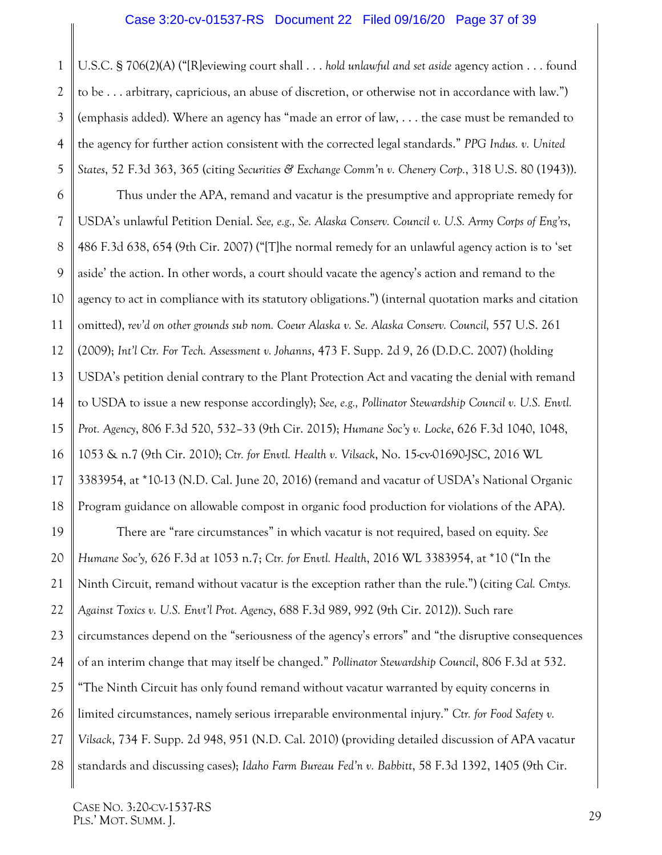#### <span id="page-36-6"></span>Case 3:20-cv-01537-RS Document 22 Filed 09/16/20 Page 37 of 39

1 2 3 4 5 U.S.C. § 706(2)(A) ("[R]eviewing court shall . . . *hold unlawful and set aside* agency action . . . found to be . . . arbitrary, capricious, an abuse of discretion, or otherwise not in accordance with law.") (emphasis added). Where an agency has "made an error of law, . . . the case must be remanded to the agency for further action consistent with the corrected legal standards." *PPG Indus. v. United States*, 52 F.3d 363, 365 (citing *Securities & Exchange Comm'n v. Chenery Corp.*, 318 U.S. 80 (1943)).

<span id="page-36-7"></span><span id="page-36-4"></span>6 7 8 9 10 11 12 13 14 15 16 17 18 Thus under the APA, remand and vacatur is the presumptive and appropriate remedy for USDA's unlawful Petition Denial. *See, e.g., Se. Alaska Conserv. Council v. U.S. Army Corps of Eng'rs*, 486 F.3d 638, 654 (9th Cir. 2007) ("[T]he normal remedy for an unlawful agency action is to 'set aside' the action. In other words, a court should vacate the agency's action and remand to the agency to act in compliance with its statutory obligations.") (internal quotation marks and citation omitted), *rev'd on other grounds sub nom. Coeur Alaska v. Se. Alaska Conserv. Council,* 557 U.S. 261 (2009); *Int'l Ctr. For Tech. Assessment v. Johanns*, 473 F. Supp. 2d 9, 26 (D.D.C. 2007) (holding USDA's petition denial contrary to the Plant Protection Act and vacating the denial with remand to USDA to issue a new response accordingly); *See, e.g., Pollinator Stewardship Council v. U.S. Envtl. Prot. Agency*, 806 F.3d 520, 532–33 (9th Cir. 2015); *Humane Soc'y v. Locke*, 626 F.3d 1040, 1048, 1053 & n.7 (9th Cir. 2010); *Ctr. for Envtl. Health v. Vilsack*, No. 15-cv-01690-JSC, 2016 WL 3383954, at \*10-13 (N.D. Cal. June 20, 2016) (remand and vacatur of USDA's National Organic Program guidance on allowable compost in organic food production for violations of the APA).

<span id="page-36-5"></span><span id="page-36-3"></span><span id="page-36-2"></span><span id="page-36-1"></span><span id="page-36-0"></span>19 20 21 22 23 24 25 26 27 28 There are "rare circumstances" in which vacatur is not required, based on equity. *See Humane Soc'y,* 626 F.3d at 1053 n.7; *Ctr. for Envtl. Health*, 2016 WL 3383954, at \*10 ("In the Ninth Circuit, remand without vacatur is the exception rather than the rule.") (citing *Cal. Cmtys. Against Toxics v. U.S. Envt'l Prot. Agency*, 688 F.3d 989, 992 (9th Cir. 2012)). Such rare circumstances depend on the "seriousness of the agency's errors" and "the disruptive consequences of an interim change that may itself be changed." *Pollinator Stewardship Council*, 806 F.3d at 532. "The Ninth Circuit has only found remand without vacatur warranted by equity concerns in limited circumstances, namely serious irreparable environmental injury." *Ctr. for Food Safety v. Vilsack*, 734 F. Supp. 2d 948, 951 (N.D. Cal. 2010) (providing detailed discussion of APA vacatur standards and discussing cases); *Idaho Farm Bureau Fed'n v. Babbitt*, 58 F.3d 1392, 1405 (9th Cir.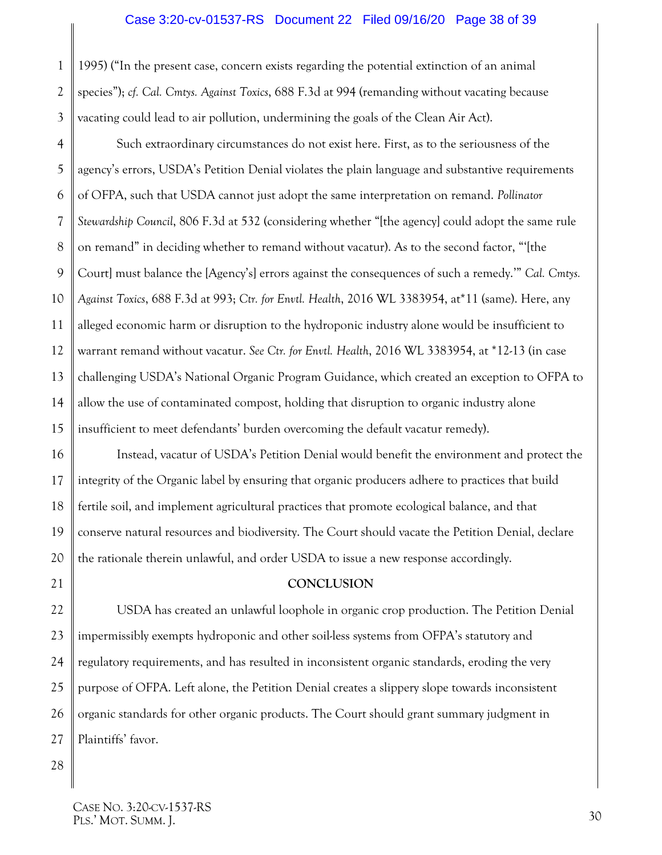#### <span id="page-37-3"></span><span id="page-37-1"></span>Case 3:20-cv-01537-RS Document 22 Filed 09/16/20 Page 38 of 39

1995) ("In the present case, concern exists regarding the potential extinction of an animal species"); *cf. Cal. Cmtys. Against Toxics*, 688 F.3d at 994 (remanding without vacating because vacating could lead to air pollution, undermining the goals of the Clean Air Act).

<span id="page-37-2"></span>4 5 6 7 8 9 10 11 12 13 14 15 Such extraordinary circumstances do not exist here. First, as to the seriousness of the agency's errors, USDA's Petition Denial violates the plain language and substantive requirements of OFPA, such that USDA cannot just adopt the same interpretation on remand. *Pollinator Stewardship Council*, 806 F.3d at 532 (considering whether "[the agency] could adopt the same rule on remand" in deciding whether to remand without vacatur). As to the second factor, "'[the Court] must balance the [Agency's] errors against the consequences of such a remedy.'" *Cal. Cmtys. Against Toxics*, 688 F.3d at 993; *Ctr. for Envtl. Health*, 2016 WL 3383954, at\*11 (same). Here, any alleged economic harm or disruption to the hydroponic industry alone would be insufficient to warrant remand without vacatur. *See Ctr. for Envtl. Health*, 2016 WL 3383954, at \*12-13 (in case challenging USDA's National Organic Program Guidance, which created an exception to OFPA to allow the use of contaminated compost, holding that disruption to organic industry alone insufficient to meet defendants' burden overcoming the default vacatur remedy).

16 17 18 19 20 Instead, vacatur of USDA's Petition Denial would benefit the environment and protect the integrity of the Organic label by ensuring that organic producers adhere to practices that build fertile soil, and implement agricultural practices that promote ecological balance, and that conserve natural resources and biodiversity. The Court should vacate the Petition Denial, declare the rationale therein unlawful, and order USDA to issue a new response accordingly.

#### **CONCLUSION**

22 23 24 25 26 27 USDA has created an unlawful loophole in organic crop production. The Petition Denial impermissibly exempts hydroponic and other soil-less systems from OFPA's statutory and regulatory requirements, and has resulted in inconsistent organic standards, eroding the very purpose of OFPA. Left alone, the Petition Denial creates a slippery slope towards inconsistent organic standards for other organic products. The Court should grant summary judgment in Plaintiffs' favor.

28

<span id="page-37-0"></span>21

1

2